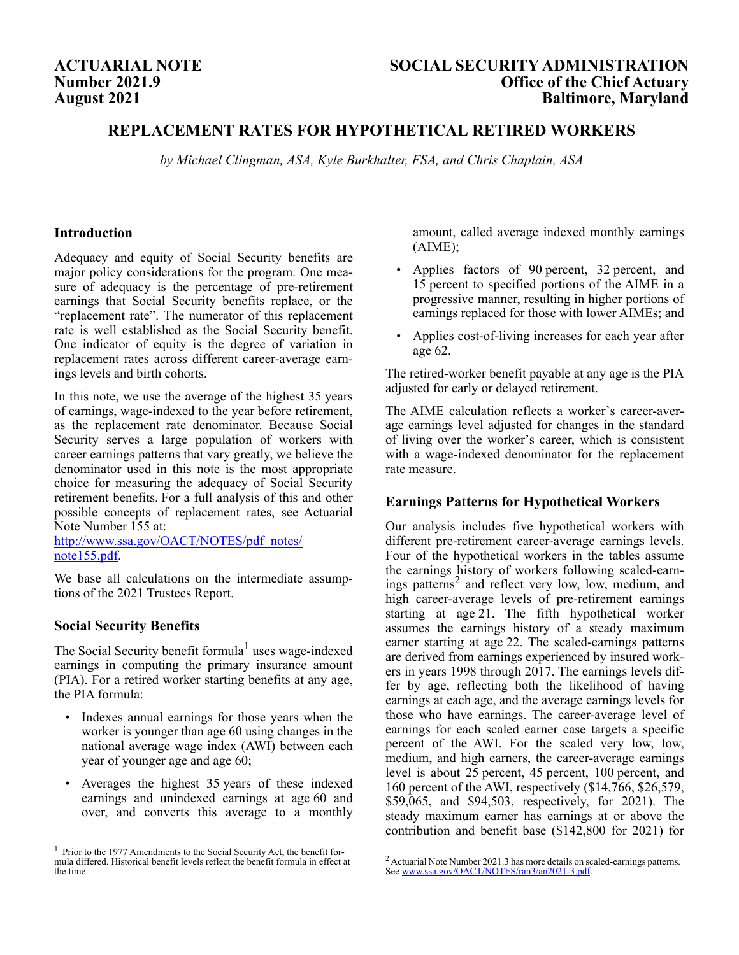# **Number 2021.9 August 2021**

# **ACTUARIAL NOTE SOCIAL SECURITY ADMINISTRATION Office of the Chief Actuary Baltimore, Maryland**

# **REPLACEMENT RATES FOR HYPOTHETICAL RETIRED WORKERS**

*by Michael Clingman, ASA, Kyle Burkhalter, FSA, and Chris Chaplain, ASA*

### **Introduction**

Adequacy and equity of Social Security benefits are major policy considerations for the program. One measure of adequacy is the percentage of pre-retirement earnings that Social Security benefits replace, or the "replacement rate". The numerator of this replacement rate is well established as the Social Security benefit. One indicator of equity is the degree of variation in replacement rates across different career-average earnings levels and birth cohorts.

In this note, we use the average of the highest 35 years of earnings, wage-indexed to the year before retirement, as the replacement rate denominator. Because Social Security serves a large population of workers with career earnings patterns that vary greatly, we believe the denominator used in this note is the most appropriate choice for measuring the adequacy of Social Security retirement benefits. For a full analysis of this and other possible concepts of replacement rates, see Actuarial Note Number 155 at:

http://www.ssa.gov/OACT/NOTES/pdf\_notes/ note155.pdf.

We base all calculations on the intermediate assumptions of the 2021 Trustees Report.

# **Social Security Benefits**

The Social Security benefit formula<sup>1</sup> uses wage-indexed earnings in computing the primary insurance amount (PIA). For a retired worker starting benefits at any age, the PIA formula:

- Indexes annual earnings for those years when the worker is younger than age 60 using changes in the national average wage index (AWI) between each year of younger age and age 60;
- Averages the highest 35 years of these indexed earnings and unindexed earnings at age 60 and over, and converts this average to a monthly

amount, called average indexed monthly earnings (AIME);

- Applies factors of 90 percent, 32 percent, and 15 percent to specified portions of the AIME in a progressive manner, resulting in higher portions of earnings replaced for those with lower AIMEs; and
- Applies cost-of-living increases for each year after age 62.

The retired-worker benefit payable at any age is the PIA adjusted for early or delayed retirement.

The AIME calculation reflects a worker's career-average earnings level adjusted for changes in the standard of living over the worker's career, which is consistent with a wage-indexed denominator for the replacement rate measure.

# **Earnings Patterns for Hypothetical Workers**

Our analysis includes five hypothetical workers with different pre-retirement career-average earnings levels. Four of the hypothetical workers in the tables assume the earnings history of workers following scaled-earnings patterns<sup>2</sup> and reflect very low, low, medium, and high career-average levels of pre-retirement earnings starting at age 21. The fifth hypothetical worker assumes the earnings history of a steady maximum earner starting at age 22. The scaled-earnings patterns are derived from earnings experienced by insured workers in years 1998 through 2017. The earnings levels differ by age, reflecting both the likelihood of having earnings at each age, and the average earnings levels for those who have earnings. The career-average level of earnings for each scaled earner case targets a specific percent of the AWI. For the scaled very low, low, medium, and high earners, the career-average earnings level is about 25 percent, 45 percent, 100 percent, and 160 percent of the AWI, respectively (\$14,766, \$26,579, \$59,065, and \$94,503, respectively, for 2021). The steady maximum earner has earnings at or above the contribution and benefit base (\$142,800 for 2021) for

<sup>&</sup>lt;sup>1</sup> Prior to the 1977 Amendments to the Social Security Act, the benefit formula differed. Historical benefit levels reflect the benefit formula in effect at the time.

 $2$  Actuarial Note Number 2021.3 has more details on scaled-earnings patterns. See www.ssa.gov/OACT/NOTES/ran3/an2021-3.pdf.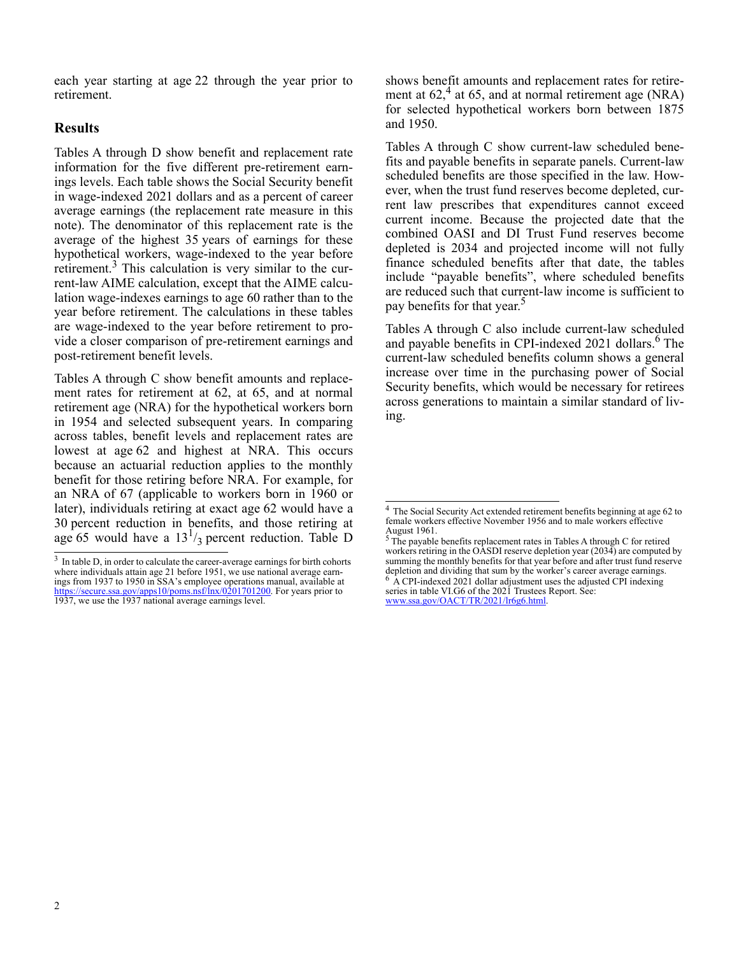each year starting at age 22 through the year prior to retirement.

# **Results**

Tables A through D show benefit and replacement rate information for the five different pre-retirement earnings levels. Each table shows the Social Security benefit in wage-indexed 2021 dollars and as a percent of career average earnings (the replacement rate measure in this note). The denominator of this replacement rate is the average of the highest 35 years of earnings for these hypothetical workers, wage-indexed to the year before retirement.<sup>3</sup> This calculation is very similar to the current-law AIME calculation, except that the AIME calculation wage-indexes earnings to age 60 rather than to the year before retirement. The calculations in these tables are wage-indexed to the year before retirement to provide a closer comparison of pre-retirement earnings and post-retirement benefit levels.

Tables A through C show benefit amounts and replacement rates for retirement at 62, at 65, and at normal retirement age (NRA) for the hypothetical workers born in 1954 and selected subsequent years. In comparing across tables, benefit levels and replacement rates are lowest at age 62 and highest at NRA. This occurs because an actuarial reduction applies to the monthly benefit for those retiring before NRA. For example, for an NRA of 67 (applicable to workers born in 1960 or later), individuals retiring at exact age 62 would have a 30 percent reduction in benefits, and those retiring at age 65 would have a  $13^{1/3}$  percent reduction. Table D

shows benefit amounts and replacement rates for retirement at  $62<sup>4</sup>$  at 65, and at normal retirement age (NRA) for selected hypothetical workers born between 1875 and 1950.

Tables A through C show current-law scheduled benefits and payable benefits in separate panels. Current-law scheduled benefits are those specified in the law. However, when the trust fund reserves become depleted, current law prescribes that expenditures cannot exceed current income. Because the projected date that the combined OASI and DI Trust Fund reserves become depleted is 2034 and projected income will not fully finance scheduled benefits after that date, the tables include "payable benefits", where scheduled benefits are reduced such that current-law income is sufficient to pay benefits for that year.<sup>5</sup>

Tables A through C also include current-law scheduled and payable benefits in CPI-indexed 2021 dollars.<sup>6</sup> The current-law scheduled benefits column shows a general increase over time in the purchasing power of Social Security benefits, which would be necessary for retirees across generations to maintain a similar standard of living.

series in table VI.G6 of the 2021 Trustees Report. See: www.ssa.gov/OACT/TR/2021/lr6g6.html.

<sup>&</sup>lt;sup>3</sup> In table D, in order to calculate the career-average earnings for birth cohorts where individuals attain age 21 before 1951, we use national average earnings from 1937 to 1950 in SSA's employee operations manual, available at https://secure.ssa.gov/apps10/poms.nsf/lnx/0201701200. For years prior to 1937, we use the 1937 national average earnings level.

<sup>4</sup> The Social Security Act extended retirement benefits beginning at age 62 to female workers effective November 1956 and to male workers effective August 1961.<br><sup>5</sup> The payable benefits replacement rates in Tables A through C for retired

workers retiring in the OASDI reserve depletion year  $(203\tilde{4})$  are computed by summing the monthly benefits for that year before and after trust fund reserve depletion and dividing that sum by the worker's career average earnings.  $6$  A CPI-indexed 2021 dollar adjustment uses the adjusted CPI indexing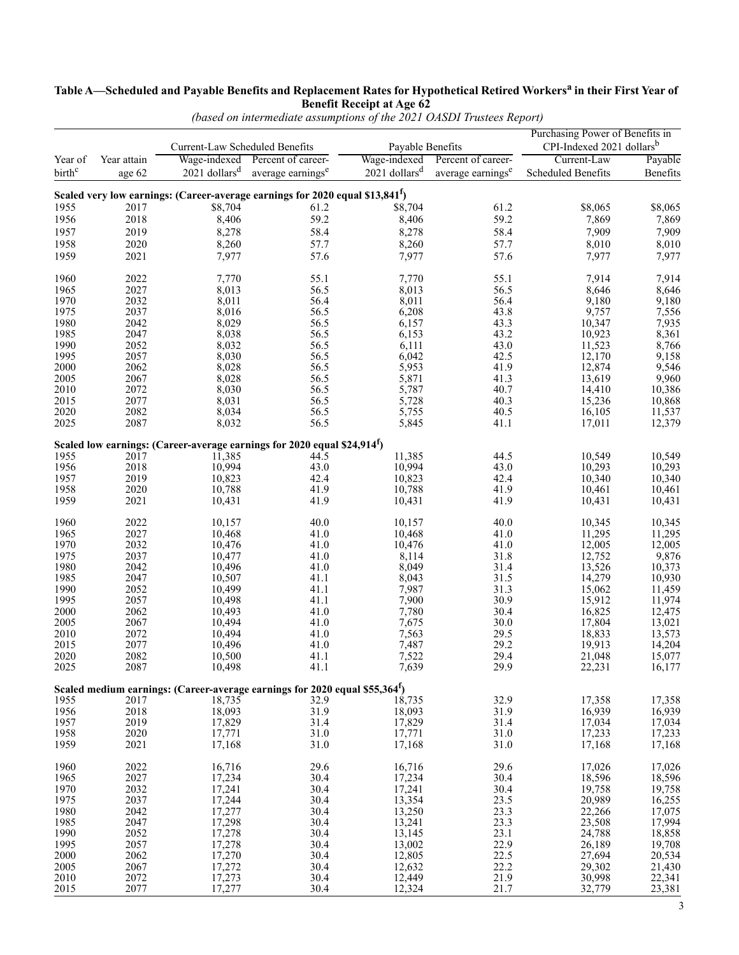#### **Table A—Scheduled and Payable Benefits and Replacement Rates for Hypothetical Retired Workers<sup>a</sup> in their First Year of Benefit Receipt at Age 62**

|                    |             | Current-Law Scheduled Benefits |                                                                                           | Payable Benefits            |                                 | Purchasing Power of Benefits in<br>CPI-Indexed 2021 dollars <sup>b</sup> |          |  |
|--------------------|-------------|--------------------------------|-------------------------------------------------------------------------------------------|-----------------------------|---------------------------------|--------------------------------------------------------------------------|----------|--|
| Year of            | Year attain |                                | Wage-indexed Percent of career-                                                           |                             | Wage-indexed Percent of career- | Current-Law                                                              | Payable  |  |
| birth <sup>c</sup> | age 62      | $2021$ dollars <sup>d</sup>    | average earnings <sup>e</sup>                                                             | $2021$ dollars <sup>d</sup> | average earnings <sup>e</sup>   | Scheduled Benefits                                                       | Benefits |  |
|                    |             |                                |                                                                                           |                             |                                 |                                                                          |          |  |
|                    |             |                                | Scaled very low earnings: (Career-average earnings for 2020 equal \$13,841 <sup>f</sup> ) |                             |                                 |                                                                          |          |  |
| 1955               | 2017        | \$8,704                        | 61.2                                                                                      | \$8,704                     | 61.2                            | \$8,065                                                                  | \$8,065  |  |
| 1956               | 2018        | 8,406                          | 59.2                                                                                      | 8,406                       | 59.2                            | 7,869                                                                    | 7,869    |  |
| 1957               | 2019        | 8,278                          | 58.4                                                                                      | 8,278                       | 58.4                            | 7,909                                                                    | 7,909    |  |
| 1958               | 2020        | 8,260                          | 57.7                                                                                      | 8,260                       | 57.7                            | 8,010                                                                    | 8,010    |  |
| 1959               | 2021        | 7,977                          | 57.6                                                                                      | 7,977                       | 57.6                            | 7,977                                                                    | 7,977    |  |
|                    |             |                                |                                                                                           |                             |                                 |                                                                          |          |  |
| 1960               | 2022        | 7,770                          | 55.1                                                                                      | 7,770                       | 55.1                            | 7,914                                                                    | 7,914    |  |
| 1965               | 2027        | 8,013                          | 56.5                                                                                      | 8,013                       | 56.5                            | 8,646                                                                    | 8,646    |  |
| 1970               | 2032        | 8,011                          | 56.4                                                                                      | 8,011                       | 56.4                            | 9,180                                                                    | 9,180    |  |
| 1975               | 2037        | 8,016                          | 56.5                                                                                      | 6,208                       | 43.8                            | 9,757                                                                    | 7,556    |  |
| 1980               | 2042        | 8,029                          | 56.5                                                                                      | 6,157                       | 43.3                            | 10,347                                                                   | 7,935    |  |
| 1985               | 2047        | 8,038                          | 56.5                                                                                      | 6,153                       | 43.2                            | 10,923                                                                   | 8,361    |  |
| 1990               | 2052        | 8,032                          | 56.5                                                                                      | 6,111                       | 43.0                            | 11,523                                                                   | 8,766    |  |
| 1995               | 2057        | 8,030                          | 56.5                                                                                      | 6,042                       | 42.5                            | 12,170                                                                   | 9,158    |  |
| 2000               | 2062        | 8,028                          | 56.5                                                                                      | 5,953                       | 41.9                            | 12,874                                                                   | 9,546    |  |
| 2005               | 2067        | 8,028                          | 56.5                                                                                      | 5,871                       | 41.3                            | 13,619                                                                   | 9,960    |  |
| 2010               | 2072        | 8,030                          | 56.5                                                                                      | 5,787                       | 40.7                            | 14,410                                                                   | 10,386   |  |
| 2015               | 2077        | 8,031                          | 56.5                                                                                      | 5,728                       | 40.3                            | 15,236                                                                   | 10,868   |  |
| 2020               | 2082        | 8,034                          | 56.5                                                                                      | 5,755                       | 40.5                            | 16,105                                                                   | 11,537   |  |
| 2025               | 2087        | 8,032                          | 56.5                                                                                      | 5,845                       | 41.1                            | 17,011                                                                   | 12,379   |  |
|                    |             |                                | Scaled low earnings: (Career-average earnings for 2020 equal \$24,914 <sup>f</sup> )      |                             |                                 |                                                                          |          |  |
| 1955               | 2017        | 11,385                         | 44.5                                                                                      | 11,385                      | 44.5                            | 10,549                                                                   | 10,549   |  |
| 1956               | 2018        | 10,994                         | 43.0                                                                                      | 10,994                      | 43.0                            | 10,293                                                                   | 10,293   |  |
| 1957               | 2019        | 10,823                         | 42.4                                                                                      | 10,823                      | 42.4                            | 10,340                                                                   | 10,340   |  |
| 1958               | 2020        | 10,788                         | 41.9                                                                                      | 10,788                      | 41.9                            | 10,461                                                                   | 10,461   |  |
| 1959               | 2021        | 10,431                         | 41.9                                                                                      | 10,431                      | 41.9                            | 10,431                                                                   | 10,431   |  |
| 1960               | 2022        | 10,157                         | 40.0                                                                                      | 10,157                      | 40.0                            | 10,345                                                                   | 10,345   |  |
| 1965               | 2027        | 10,468                         | 41.0                                                                                      | 10,468                      | 41.0                            | 11,295                                                                   | 11,295   |  |
| 1970               | 2032        | 10,476                         | 41.0                                                                                      | 10,476                      | 41.0                            | 12,005                                                                   | 12,005   |  |
| 1975               | 2037        | 10,477                         | 41.0                                                                                      | 8,114                       | 31.8                            | 12,752                                                                   | 9,876    |  |
| 1980               | 2042        | 10,496                         | 41.0                                                                                      | 8,049                       | 31.4                            | 13,526                                                                   | 10,373   |  |
| 1985               | 2047        | 10,507                         | 41.1                                                                                      | 8,043                       | 31.5                            | 14,279                                                                   | 10,930   |  |
| 1990               | 2052        | 10,499                         | 41.1                                                                                      | 7,987                       | 31.3                            | 15,062                                                                   | 11,459   |  |
| 1995               | 2057        | 10,498                         | 41.1                                                                                      | 7,900                       | 30.9                            | 15,912                                                                   | 11,974   |  |
| 2000               | 2062        | 10,493                         | 41.0                                                                                      | 7,780                       | 30.4                            | 16,825                                                                   | 12,475   |  |
| 2005               | 2067        | 10,494                         | 41.0                                                                                      | 7,675                       | 30.0                            | 17,804                                                                   | 13,021   |  |
| 2010               | 2072        | 10,494                         | 41.0                                                                                      | 7,563                       | 29.5                            | 18,833                                                                   | 13,573   |  |
| 2015               | 2077        | 10,496                         | 41.0                                                                                      | 7,487                       | 29.2                            | 19,913                                                                   | 14,204   |  |
| 2020               | 2082        | 10,500                         | 41.1                                                                                      | 7,522                       | 29.4                            | 21,048                                                                   | 15,077   |  |
| 2025               | 2087        | 10,498                         | 41.1                                                                                      | 7,639                       | 29.9                            | 22,231                                                                   | 16,177   |  |
|                    |             |                                | Scaled medium earnings: (Career-average earnings for 2020 equal \$55,364 <sup>f</sup> )   |                             |                                 |                                                                          |          |  |
| 1955               | 2017        | 18,735                         | 32.9                                                                                      | 18,735                      | 32.9                            | 17,358                                                                   | 17,358   |  |
| 1956               | 2018        | 18,093                         | 31.9                                                                                      | 18,093                      | 31.9                            | 16,939                                                                   | 16,939   |  |
| 1957               | 2019        | 17,829                         | 31.4                                                                                      | 17,829                      | 31.4                            | 17,034                                                                   | 17,034   |  |
| 1958               | 2020        | 17,771                         | 31.0                                                                                      | 17,771                      | 31.0                            | 17,233                                                                   | 17,233   |  |
| 1959               | 2021        | 17,168                         | 31.0                                                                                      | 17,168                      | 31.0                            | 17,168                                                                   | 17,168   |  |
| 1960               | 2022        | 16,716                         | 29.6                                                                                      | 16,716                      | 29.6                            | 17,026                                                                   | 17,026   |  |
| 1965               | 2027        | 17,234                         | 30.4                                                                                      | 17,234                      | 30.4                            | 18,596                                                                   | 18,596   |  |
|                    |             |                                |                                                                                           |                             |                                 |                                                                          |          |  |
| 1970               | 2032        | 17,241                         | 30.4                                                                                      | 17,241                      | 30.4                            | 19,758                                                                   | 19,758   |  |
| 1975               | 2037        | 17,244                         | 30.4                                                                                      | 13,354                      | 23.5                            | 20,989                                                                   | 16,255   |  |
| 1980               | 2042        | 17,277                         | 30.4                                                                                      | 13,250                      | 23.3                            | 22,266                                                                   | 17,075   |  |
| 1985               | 2047        | 17,298                         | 30.4                                                                                      | 13,241                      | 23.3                            | 23,508                                                                   | 17,994   |  |
| 1990               | 2052        | 17,278                         | 30.4                                                                                      | 13,145                      | 23.1                            | 24,788                                                                   | 18,858   |  |
| 1995               | 2057        | 17,278                         | 30.4                                                                                      | 13,002                      | 22.9                            | 26,189                                                                   | 19,708   |  |
| 2000               | 2062        | 17,270                         | 30.4                                                                                      | 12,805                      | 22.5                            | 27,694                                                                   | 20,534   |  |
| 2005               | 2067        | 17,272                         | 30.4                                                                                      | 12,632                      | 22.2                            | 29,302                                                                   | 21,430   |  |
| 2010               | 2072        | 17,273                         | 30.4                                                                                      | 12,449<br>12,324            | 21.9                            | 30,998                                                                   | 22,341   |  |
| 2015               | 2077        | 17,277                         | 30.4                                                                                      |                             | 21.7                            | 32,779                                                                   | 23,381   |  |

*(based on intermediate assumptions of the 2021 OASDI Trustees Report)*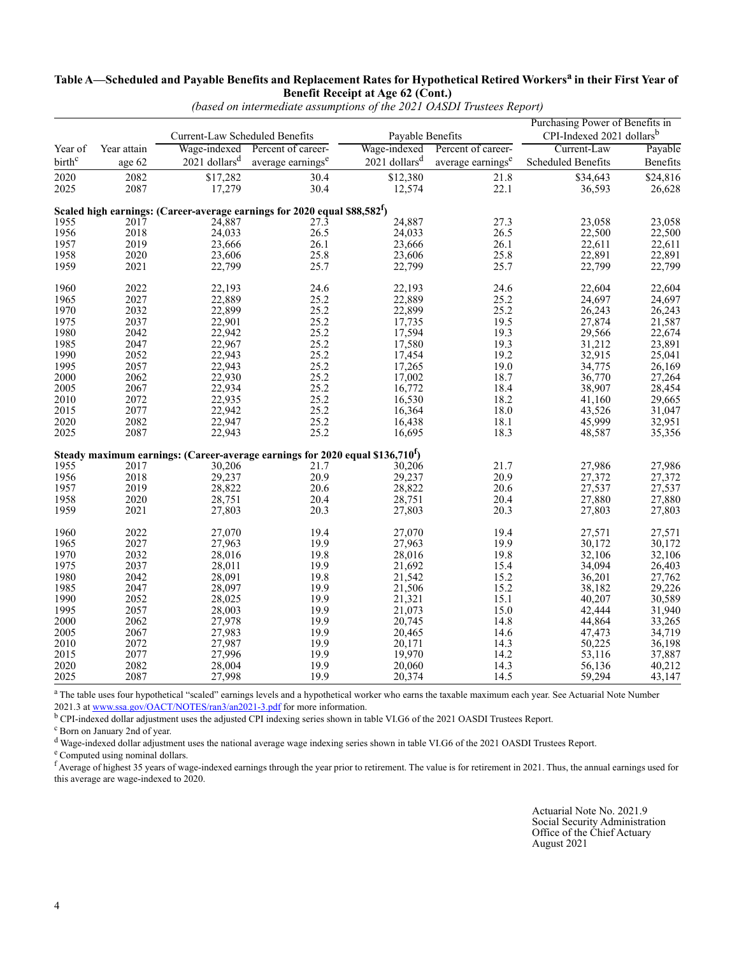#### **Table A—Scheduled and Payable Benefits and Replacement Rates for Hypothetical Retired Workers<sup>a</sup> in their First Year of Benefit Receipt at Age 62 (Cont.)**

| Current-Law Scheduled Benefits<br>Payable Benefits<br>Wage-indexed Percent of career-<br>Wage-indexed Percent of career-<br>Current-Law<br>Year of<br>Year attain<br>Payable<br>$2021$ dollars <sup>d</sup> average earnings <sup>e</sup><br>$2021$ dollars <sup>d</sup> average earnings <sup>e</sup><br>birth <sup>c</sup><br>Scheduled Benefits<br>age 62<br>2082<br>\$17,282<br>\$12,380<br>2020<br>30.4<br>21.8<br>\$34,643<br>\$24,816<br>17,279<br>30.4<br>22.1<br>2087<br>2025<br>12,574<br>36,593<br>Scaled high earnings: (Career-average earnings for 2020 equal \$88,582 $^{\text{f}}$ )<br>24,887<br>27.3<br>23,058<br>1955<br>2017<br>24,887<br>$27.\overline{3}$<br>23,058<br>1956<br>2018<br>26.5<br>24,033<br>26.5<br>22,500<br>24,033<br>22,500<br>26.1<br>1957<br>2019<br>23,666<br>26.1<br>23,666<br>22,611<br>22,611<br>1958<br>2020<br>25.8<br>25.8<br>22,891<br>22,891<br>23,606<br>23,606<br>22,799<br>1959<br>2021<br>25.7<br>25.7<br>22,799<br>22,799<br>22,799<br>1960<br>2022<br>22,193<br>24.6<br>22,193<br>24.6<br>22,604<br>2027<br>22,889<br>25.2<br>22,889<br>25.2<br>24,697<br>1965<br>24,697<br>2032<br>25.2<br>25.2<br>22,899<br>26,243<br>1970<br>22,899<br>26,243<br>21,587<br>22,674<br>23,891<br>2037<br>25.2<br>19.5<br>1975<br>22,901<br>17,735<br>27,874<br>2042<br>25.2<br>19.3<br>1980<br>17,594<br>29,566<br>22,942<br>2047<br>25.2<br>17,580<br>19.3<br>31,212<br>1985<br>22,967<br>1990<br>25.2<br>2052<br>19.2<br>22,943<br>17,454<br>32,915<br>25.2<br>19.0<br>1995<br>2057<br>22,943<br>34,775<br>17,265<br>2062<br>$25.2$<br>$25.2$<br>2000<br>22,930<br>18.7<br>36,770<br>17,002<br>2067<br>18.4<br>2005<br>22,934<br>16,772<br>38,907<br>2072<br>25.2<br>2010<br>22,935<br>16,530<br>18.2<br>41,160<br>2077<br>25.2<br>18.0<br>2015<br>22,942<br>43,526<br>16,364<br>2082<br>25.2<br>16,438<br>18.1<br>2020<br>22,947<br>45,999<br>2087<br>25.2<br>18.3<br>2025<br>22,943<br>16,695<br>48,587<br>Steady maximum earnings: (Career-average earnings for 2020 equal \$136,710 $^{\text{f}}$ )<br>21.7<br>21.7<br>27,986<br>27,986<br>1955<br>2017<br>30,206<br>30,206<br>20.9<br>2018<br>29,237<br>29,237<br>20.9<br>27,372<br>27,372<br>1956<br>20.6<br>1957<br>2019<br>28,822<br>20.6<br>28,822<br>27,537<br>27,880<br>27,537<br>20.4<br>27,880<br>2020<br>20.4<br>28,751<br>1958<br>28,751<br>1959<br>20.3<br>20.3<br>2021<br>27,803<br>27,803<br>27,803<br>1960<br>2022<br>27,070<br>19.4<br>27,070<br>19.4<br>27,571<br>27,571<br>2027<br>19.9<br>27,963<br>19.9<br>1965<br>27,963<br>30,172<br>30,172<br>19.8<br>1970<br>2032<br>19.8<br>32,106<br>28,016<br>28,016<br>32,106<br>2037<br>15.4<br>1975<br>19.9<br>34,094<br>26,403<br>28,011<br>21,692<br>2042<br>19.8<br>36,201<br>1980<br>28,091<br>21,542<br>15.2<br>27,762<br>28,097<br>1985<br>2047<br>19.9<br>21,506<br>15.2<br>38,182<br>29,226<br>30,589<br>2052<br>19.9<br>15.1<br>1990<br>21,321<br>40,207<br>28,025<br>15.0<br>1995<br>2057<br>28,003<br>19.9<br>21,073<br>42,444<br>31,940<br>33,265<br>14.8<br>2062<br>2000<br>27,978<br>19.9<br>20,745<br>44,864<br>2067<br>19.9<br>34,719<br>36,198<br>2005<br>27,983<br>20,465<br>14.6<br>47,473<br>2072<br>2010<br>27,987<br>19.9<br>14.3<br>50,225<br>20,171<br>2077<br>27,996<br>37,887<br>19.9<br>19,970<br>14.2<br>2015<br>53,116<br>40,212<br>2020<br>2082<br>19.9<br>28,004<br>20,060<br>14.3<br>56,136 |      |      |        |      |        | Purchasing Power of Benefits in<br>CPI-Indexed 2021 dollars <sup>b</sup> |        |          |
|-----------------------------------------------------------------------------------------------------------------------------------------------------------------------------------------------------------------------------------------------------------------------------------------------------------------------------------------------------------------------------------------------------------------------------------------------------------------------------------------------------------------------------------------------------------------------------------------------------------------------------------------------------------------------------------------------------------------------------------------------------------------------------------------------------------------------------------------------------------------------------------------------------------------------------------------------------------------------------------------------------------------------------------------------------------------------------------------------------------------------------------------------------------------------------------------------------------------------------------------------------------------------------------------------------------------------------------------------------------------------------------------------------------------------------------------------------------------------------------------------------------------------------------------------------------------------------------------------------------------------------------------------------------------------------------------------------------------------------------------------------------------------------------------------------------------------------------------------------------------------------------------------------------------------------------------------------------------------------------------------------------------------------------------------------------------------------------------------------------------------------------------------------------------------------------------------------------------------------------------------------------------------------------------------------------------------------------------------------------------------------------------------------------------------------------------------------------------------------------------------------------------------------------------------------------------------------------------------------------------------------------------------------------------------------------------------------------------------------------------------------------------------------------------------------------------------------------------------------------------------------------------------------------------------------------------------------------------------------------------------------------------------------------------------------------------------------------------------------------------------------------------------------------------------------------------------------------------------------------------------------------------------------------------------------------------------------------------------------------------------------------------|------|------|--------|------|--------|--------------------------------------------------------------------------|--------|----------|
|                                                                                                                                                                                                                                                                                                                                                                                                                                                                                                                                                                                                                                                                                                                                                                                                                                                                                                                                                                                                                                                                                                                                                                                                                                                                                                                                                                                                                                                                                                                                                                                                                                                                                                                                                                                                                                                                                                                                                                                                                                                                                                                                                                                                                                                                                                                                                                                                                                                                                                                                                                                                                                                                                                                                                                                                                                                                                                                                                                                                                                                                                                                                                                                                                                                                                                                                                                                         |      |      |        |      |        |                                                                          |        |          |
|                                                                                                                                                                                                                                                                                                                                                                                                                                                                                                                                                                                                                                                                                                                                                                                                                                                                                                                                                                                                                                                                                                                                                                                                                                                                                                                                                                                                                                                                                                                                                                                                                                                                                                                                                                                                                                                                                                                                                                                                                                                                                                                                                                                                                                                                                                                                                                                                                                                                                                                                                                                                                                                                                                                                                                                                                                                                                                                                                                                                                                                                                                                                                                                                                                                                                                                                                                                         |      |      |        |      |        |                                                                          |        | Benefits |
|                                                                                                                                                                                                                                                                                                                                                                                                                                                                                                                                                                                                                                                                                                                                                                                                                                                                                                                                                                                                                                                                                                                                                                                                                                                                                                                                                                                                                                                                                                                                                                                                                                                                                                                                                                                                                                                                                                                                                                                                                                                                                                                                                                                                                                                                                                                                                                                                                                                                                                                                                                                                                                                                                                                                                                                                                                                                                                                                                                                                                                                                                                                                                                                                                                                                                                                                                                                         |      |      |        |      |        |                                                                          |        |          |
|                                                                                                                                                                                                                                                                                                                                                                                                                                                                                                                                                                                                                                                                                                                                                                                                                                                                                                                                                                                                                                                                                                                                                                                                                                                                                                                                                                                                                                                                                                                                                                                                                                                                                                                                                                                                                                                                                                                                                                                                                                                                                                                                                                                                                                                                                                                                                                                                                                                                                                                                                                                                                                                                                                                                                                                                                                                                                                                                                                                                                                                                                                                                                                                                                                                                                                                                                                                         |      |      |        |      |        |                                                                          |        | 26,628   |
|                                                                                                                                                                                                                                                                                                                                                                                                                                                                                                                                                                                                                                                                                                                                                                                                                                                                                                                                                                                                                                                                                                                                                                                                                                                                                                                                                                                                                                                                                                                                                                                                                                                                                                                                                                                                                                                                                                                                                                                                                                                                                                                                                                                                                                                                                                                                                                                                                                                                                                                                                                                                                                                                                                                                                                                                                                                                                                                                                                                                                                                                                                                                                                                                                                                                                                                                                                                         |      |      |        |      |        |                                                                          |        |          |
|                                                                                                                                                                                                                                                                                                                                                                                                                                                                                                                                                                                                                                                                                                                                                                                                                                                                                                                                                                                                                                                                                                                                                                                                                                                                                                                                                                                                                                                                                                                                                                                                                                                                                                                                                                                                                                                                                                                                                                                                                                                                                                                                                                                                                                                                                                                                                                                                                                                                                                                                                                                                                                                                                                                                                                                                                                                                                                                                                                                                                                                                                                                                                                                                                                                                                                                                                                                         |      |      |        |      |        |                                                                          |        |          |
|                                                                                                                                                                                                                                                                                                                                                                                                                                                                                                                                                                                                                                                                                                                                                                                                                                                                                                                                                                                                                                                                                                                                                                                                                                                                                                                                                                                                                                                                                                                                                                                                                                                                                                                                                                                                                                                                                                                                                                                                                                                                                                                                                                                                                                                                                                                                                                                                                                                                                                                                                                                                                                                                                                                                                                                                                                                                                                                                                                                                                                                                                                                                                                                                                                                                                                                                                                                         |      |      |        |      |        |                                                                          |        |          |
|                                                                                                                                                                                                                                                                                                                                                                                                                                                                                                                                                                                                                                                                                                                                                                                                                                                                                                                                                                                                                                                                                                                                                                                                                                                                                                                                                                                                                                                                                                                                                                                                                                                                                                                                                                                                                                                                                                                                                                                                                                                                                                                                                                                                                                                                                                                                                                                                                                                                                                                                                                                                                                                                                                                                                                                                                                                                                                                                                                                                                                                                                                                                                                                                                                                                                                                                                                                         |      |      |        |      |        |                                                                          |        |          |
|                                                                                                                                                                                                                                                                                                                                                                                                                                                                                                                                                                                                                                                                                                                                                                                                                                                                                                                                                                                                                                                                                                                                                                                                                                                                                                                                                                                                                                                                                                                                                                                                                                                                                                                                                                                                                                                                                                                                                                                                                                                                                                                                                                                                                                                                                                                                                                                                                                                                                                                                                                                                                                                                                                                                                                                                                                                                                                                                                                                                                                                                                                                                                                                                                                                                                                                                                                                         |      |      |        |      |        |                                                                          |        |          |
|                                                                                                                                                                                                                                                                                                                                                                                                                                                                                                                                                                                                                                                                                                                                                                                                                                                                                                                                                                                                                                                                                                                                                                                                                                                                                                                                                                                                                                                                                                                                                                                                                                                                                                                                                                                                                                                                                                                                                                                                                                                                                                                                                                                                                                                                                                                                                                                                                                                                                                                                                                                                                                                                                                                                                                                                                                                                                                                                                                                                                                                                                                                                                                                                                                                                                                                                                                                         |      |      |        |      |        |                                                                          |        |          |
|                                                                                                                                                                                                                                                                                                                                                                                                                                                                                                                                                                                                                                                                                                                                                                                                                                                                                                                                                                                                                                                                                                                                                                                                                                                                                                                                                                                                                                                                                                                                                                                                                                                                                                                                                                                                                                                                                                                                                                                                                                                                                                                                                                                                                                                                                                                                                                                                                                                                                                                                                                                                                                                                                                                                                                                                                                                                                                                                                                                                                                                                                                                                                                                                                                                                                                                                                                                         |      |      |        |      |        |                                                                          |        |          |
|                                                                                                                                                                                                                                                                                                                                                                                                                                                                                                                                                                                                                                                                                                                                                                                                                                                                                                                                                                                                                                                                                                                                                                                                                                                                                                                                                                                                                                                                                                                                                                                                                                                                                                                                                                                                                                                                                                                                                                                                                                                                                                                                                                                                                                                                                                                                                                                                                                                                                                                                                                                                                                                                                                                                                                                                                                                                                                                                                                                                                                                                                                                                                                                                                                                                                                                                                                                         |      |      |        |      |        |                                                                          |        | 22,604   |
|                                                                                                                                                                                                                                                                                                                                                                                                                                                                                                                                                                                                                                                                                                                                                                                                                                                                                                                                                                                                                                                                                                                                                                                                                                                                                                                                                                                                                                                                                                                                                                                                                                                                                                                                                                                                                                                                                                                                                                                                                                                                                                                                                                                                                                                                                                                                                                                                                                                                                                                                                                                                                                                                                                                                                                                                                                                                                                                                                                                                                                                                                                                                                                                                                                                                                                                                                                                         |      |      |        |      |        |                                                                          |        |          |
|                                                                                                                                                                                                                                                                                                                                                                                                                                                                                                                                                                                                                                                                                                                                                                                                                                                                                                                                                                                                                                                                                                                                                                                                                                                                                                                                                                                                                                                                                                                                                                                                                                                                                                                                                                                                                                                                                                                                                                                                                                                                                                                                                                                                                                                                                                                                                                                                                                                                                                                                                                                                                                                                                                                                                                                                                                                                                                                                                                                                                                                                                                                                                                                                                                                                                                                                                                                         |      |      |        |      |        |                                                                          |        |          |
|                                                                                                                                                                                                                                                                                                                                                                                                                                                                                                                                                                                                                                                                                                                                                                                                                                                                                                                                                                                                                                                                                                                                                                                                                                                                                                                                                                                                                                                                                                                                                                                                                                                                                                                                                                                                                                                                                                                                                                                                                                                                                                                                                                                                                                                                                                                                                                                                                                                                                                                                                                                                                                                                                                                                                                                                                                                                                                                                                                                                                                                                                                                                                                                                                                                                                                                                                                                         |      |      |        |      |        |                                                                          |        |          |
|                                                                                                                                                                                                                                                                                                                                                                                                                                                                                                                                                                                                                                                                                                                                                                                                                                                                                                                                                                                                                                                                                                                                                                                                                                                                                                                                                                                                                                                                                                                                                                                                                                                                                                                                                                                                                                                                                                                                                                                                                                                                                                                                                                                                                                                                                                                                                                                                                                                                                                                                                                                                                                                                                                                                                                                                                                                                                                                                                                                                                                                                                                                                                                                                                                                                                                                                                                                         |      |      |        |      |        |                                                                          |        |          |
|                                                                                                                                                                                                                                                                                                                                                                                                                                                                                                                                                                                                                                                                                                                                                                                                                                                                                                                                                                                                                                                                                                                                                                                                                                                                                                                                                                                                                                                                                                                                                                                                                                                                                                                                                                                                                                                                                                                                                                                                                                                                                                                                                                                                                                                                                                                                                                                                                                                                                                                                                                                                                                                                                                                                                                                                                                                                                                                                                                                                                                                                                                                                                                                                                                                                                                                                                                                         |      |      |        |      |        |                                                                          |        |          |
|                                                                                                                                                                                                                                                                                                                                                                                                                                                                                                                                                                                                                                                                                                                                                                                                                                                                                                                                                                                                                                                                                                                                                                                                                                                                                                                                                                                                                                                                                                                                                                                                                                                                                                                                                                                                                                                                                                                                                                                                                                                                                                                                                                                                                                                                                                                                                                                                                                                                                                                                                                                                                                                                                                                                                                                                                                                                                                                                                                                                                                                                                                                                                                                                                                                                                                                                                                                         |      |      |        |      |        |                                                                          |        | 25,041   |
|                                                                                                                                                                                                                                                                                                                                                                                                                                                                                                                                                                                                                                                                                                                                                                                                                                                                                                                                                                                                                                                                                                                                                                                                                                                                                                                                                                                                                                                                                                                                                                                                                                                                                                                                                                                                                                                                                                                                                                                                                                                                                                                                                                                                                                                                                                                                                                                                                                                                                                                                                                                                                                                                                                                                                                                                                                                                                                                                                                                                                                                                                                                                                                                                                                                                                                                                                                                         |      |      |        |      |        |                                                                          |        | 26,169   |
|                                                                                                                                                                                                                                                                                                                                                                                                                                                                                                                                                                                                                                                                                                                                                                                                                                                                                                                                                                                                                                                                                                                                                                                                                                                                                                                                                                                                                                                                                                                                                                                                                                                                                                                                                                                                                                                                                                                                                                                                                                                                                                                                                                                                                                                                                                                                                                                                                                                                                                                                                                                                                                                                                                                                                                                                                                                                                                                                                                                                                                                                                                                                                                                                                                                                                                                                                                                         |      |      |        |      |        |                                                                          |        | 27,264   |
|                                                                                                                                                                                                                                                                                                                                                                                                                                                                                                                                                                                                                                                                                                                                                                                                                                                                                                                                                                                                                                                                                                                                                                                                                                                                                                                                                                                                                                                                                                                                                                                                                                                                                                                                                                                                                                                                                                                                                                                                                                                                                                                                                                                                                                                                                                                                                                                                                                                                                                                                                                                                                                                                                                                                                                                                                                                                                                                                                                                                                                                                                                                                                                                                                                                                                                                                                                                         |      |      |        |      |        |                                                                          |        | 28,454   |
|                                                                                                                                                                                                                                                                                                                                                                                                                                                                                                                                                                                                                                                                                                                                                                                                                                                                                                                                                                                                                                                                                                                                                                                                                                                                                                                                                                                                                                                                                                                                                                                                                                                                                                                                                                                                                                                                                                                                                                                                                                                                                                                                                                                                                                                                                                                                                                                                                                                                                                                                                                                                                                                                                                                                                                                                                                                                                                                                                                                                                                                                                                                                                                                                                                                                                                                                                                                         |      |      |        |      |        |                                                                          |        | 29,665   |
|                                                                                                                                                                                                                                                                                                                                                                                                                                                                                                                                                                                                                                                                                                                                                                                                                                                                                                                                                                                                                                                                                                                                                                                                                                                                                                                                                                                                                                                                                                                                                                                                                                                                                                                                                                                                                                                                                                                                                                                                                                                                                                                                                                                                                                                                                                                                                                                                                                                                                                                                                                                                                                                                                                                                                                                                                                                                                                                                                                                                                                                                                                                                                                                                                                                                                                                                                                                         |      |      |        |      |        |                                                                          |        | 31,047   |
|                                                                                                                                                                                                                                                                                                                                                                                                                                                                                                                                                                                                                                                                                                                                                                                                                                                                                                                                                                                                                                                                                                                                                                                                                                                                                                                                                                                                                                                                                                                                                                                                                                                                                                                                                                                                                                                                                                                                                                                                                                                                                                                                                                                                                                                                                                                                                                                                                                                                                                                                                                                                                                                                                                                                                                                                                                                                                                                                                                                                                                                                                                                                                                                                                                                                                                                                                                                         |      |      |        |      |        |                                                                          |        | 32,951   |
|                                                                                                                                                                                                                                                                                                                                                                                                                                                                                                                                                                                                                                                                                                                                                                                                                                                                                                                                                                                                                                                                                                                                                                                                                                                                                                                                                                                                                                                                                                                                                                                                                                                                                                                                                                                                                                                                                                                                                                                                                                                                                                                                                                                                                                                                                                                                                                                                                                                                                                                                                                                                                                                                                                                                                                                                                                                                                                                                                                                                                                                                                                                                                                                                                                                                                                                                                                                         |      |      |        |      |        |                                                                          |        | 35,356   |
|                                                                                                                                                                                                                                                                                                                                                                                                                                                                                                                                                                                                                                                                                                                                                                                                                                                                                                                                                                                                                                                                                                                                                                                                                                                                                                                                                                                                                                                                                                                                                                                                                                                                                                                                                                                                                                                                                                                                                                                                                                                                                                                                                                                                                                                                                                                                                                                                                                                                                                                                                                                                                                                                                                                                                                                                                                                                                                                                                                                                                                                                                                                                                                                                                                                                                                                                                                                         |      |      |        |      |        |                                                                          |        |          |
|                                                                                                                                                                                                                                                                                                                                                                                                                                                                                                                                                                                                                                                                                                                                                                                                                                                                                                                                                                                                                                                                                                                                                                                                                                                                                                                                                                                                                                                                                                                                                                                                                                                                                                                                                                                                                                                                                                                                                                                                                                                                                                                                                                                                                                                                                                                                                                                                                                                                                                                                                                                                                                                                                                                                                                                                                                                                                                                                                                                                                                                                                                                                                                                                                                                                                                                                                                                         |      |      |        |      |        |                                                                          |        |          |
|                                                                                                                                                                                                                                                                                                                                                                                                                                                                                                                                                                                                                                                                                                                                                                                                                                                                                                                                                                                                                                                                                                                                                                                                                                                                                                                                                                                                                                                                                                                                                                                                                                                                                                                                                                                                                                                                                                                                                                                                                                                                                                                                                                                                                                                                                                                                                                                                                                                                                                                                                                                                                                                                                                                                                                                                                                                                                                                                                                                                                                                                                                                                                                                                                                                                                                                                                                                         |      |      |        |      |        |                                                                          |        |          |
|                                                                                                                                                                                                                                                                                                                                                                                                                                                                                                                                                                                                                                                                                                                                                                                                                                                                                                                                                                                                                                                                                                                                                                                                                                                                                                                                                                                                                                                                                                                                                                                                                                                                                                                                                                                                                                                                                                                                                                                                                                                                                                                                                                                                                                                                                                                                                                                                                                                                                                                                                                                                                                                                                                                                                                                                                                                                                                                                                                                                                                                                                                                                                                                                                                                                                                                                                                                         |      |      |        |      |        |                                                                          |        |          |
|                                                                                                                                                                                                                                                                                                                                                                                                                                                                                                                                                                                                                                                                                                                                                                                                                                                                                                                                                                                                                                                                                                                                                                                                                                                                                                                                                                                                                                                                                                                                                                                                                                                                                                                                                                                                                                                                                                                                                                                                                                                                                                                                                                                                                                                                                                                                                                                                                                                                                                                                                                                                                                                                                                                                                                                                                                                                                                                                                                                                                                                                                                                                                                                                                                                                                                                                                                                         |      |      |        |      |        |                                                                          |        |          |
|                                                                                                                                                                                                                                                                                                                                                                                                                                                                                                                                                                                                                                                                                                                                                                                                                                                                                                                                                                                                                                                                                                                                                                                                                                                                                                                                                                                                                                                                                                                                                                                                                                                                                                                                                                                                                                                                                                                                                                                                                                                                                                                                                                                                                                                                                                                                                                                                                                                                                                                                                                                                                                                                                                                                                                                                                                                                                                                                                                                                                                                                                                                                                                                                                                                                                                                                                                                         |      |      |        |      |        |                                                                          |        | 27,803   |
|                                                                                                                                                                                                                                                                                                                                                                                                                                                                                                                                                                                                                                                                                                                                                                                                                                                                                                                                                                                                                                                                                                                                                                                                                                                                                                                                                                                                                                                                                                                                                                                                                                                                                                                                                                                                                                                                                                                                                                                                                                                                                                                                                                                                                                                                                                                                                                                                                                                                                                                                                                                                                                                                                                                                                                                                                                                                                                                                                                                                                                                                                                                                                                                                                                                                                                                                                                                         |      |      |        |      |        |                                                                          |        |          |
|                                                                                                                                                                                                                                                                                                                                                                                                                                                                                                                                                                                                                                                                                                                                                                                                                                                                                                                                                                                                                                                                                                                                                                                                                                                                                                                                                                                                                                                                                                                                                                                                                                                                                                                                                                                                                                                                                                                                                                                                                                                                                                                                                                                                                                                                                                                                                                                                                                                                                                                                                                                                                                                                                                                                                                                                                                                                                                                                                                                                                                                                                                                                                                                                                                                                                                                                                                                         |      |      |        |      |        |                                                                          |        |          |
|                                                                                                                                                                                                                                                                                                                                                                                                                                                                                                                                                                                                                                                                                                                                                                                                                                                                                                                                                                                                                                                                                                                                                                                                                                                                                                                                                                                                                                                                                                                                                                                                                                                                                                                                                                                                                                                                                                                                                                                                                                                                                                                                                                                                                                                                                                                                                                                                                                                                                                                                                                                                                                                                                                                                                                                                                                                                                                                                                                                                                                                                                                                                                                                                                                                                                                                                                                                         |      |      |        |      |        |                                                                          |        |          |
|                                                                                                                                                                                                                                                                                                                                                                                                                                                                                                                                                                                                                                                                                                                                                                                                                                                                                                                                                                                                                                                                                                                                                                                                                                                                                                                                                                                                                                                                                                                                                                                                                                                                                                                                                                                                                                                                                                                                                                                                                                                                                                                                                                                                                                                                                                                                                                                                                                                                                                                                                                                                                                                                                                                                                                                                                                                                                                                                                                                                                                                                                                                                                                                                                                                                                                                                                                                         |      |      |        |      |        |                                                                          |        |          |
|                                                                                                                                                                                                                                                                                                                                                                                                                                                                                                                                                                                                                                                                                                                                                                                                                                                                                                                                                                                                                                                                                                                                                                                                                                                                                                                                                                                                                                                                                                                                                                                                                                                                                                                                                                                                                                                                                                                                                                                                                                                                                                                                                                                                                                                                                                                                                                                                                                                                                                                                                                                                                                                                                                                                                                                                                                                                                                                                                                                                                                                                                                                                                                                                                                                                                                                                                                                         |      |      |        |      |        |                                                                          |        |          |
|                                                                                                                                                                                                                                                                                                                                                                                                                                                                                                                                                                                                                                                                                                                                                                                                                                                                                                                                                                                                                                                                                                                                                                                                                                                                                                                                                                                                                                                                                                                                                                                                                                                                                                                                                                                                                                                                                                                                                                                                                                                                                                                                                                                                                                                                                                                                                                                                                                                                                                                                                                                                                                                                                                                                                                                                                                                                                                                                                                                                                                                                                                                                                                                                                                                                                                                                                                                         |      |      |        |      |        |                                                                          |        |          |
|                                                                                                                                                                                                                                                                                                                                                                                                                                                                                                                                                                                                                                                                                                                                                                                                                                                                                                                                                                                                                                                                                                                                                                                                                                                                                                                                                                                                                                                                                                                                                                                                                                                                                                                                                                                                                                                                                                                                                                                                                                                                                                                                                                                                                                                                                                                                                                                                                                                                                                                                                                                                                                                                                                                                                                                                                                                                                                                                                                                                                                                                                                                                                                                                                                                                                                                                                                                         |      |      |        |      |        |                                                                          |        |          |
|                                                                                                                                                                                                                                                                                                                                                                                                                                                                                                                                                                                                                                                                                                                                                                                                                                                                                                                                                                                                                                                                                                                                                                                                                                                                                                                                                                                                                                                                                                                                                                                                                                                                                                                                                                                                                                                                                                                                                                                                                                                                                                                                                                                                                                                                                                                                                                                                                                                                                                                                                                                                                                                                                                                                                                                                                                                                                                                                                                                                                                                                                                                                                                                                                                                                                                                                                                                         |      |      |        |      |        |                                                                          |        |          |
|                                                                                                                                                                                                                                                                                                                                                                                                                                                                                                                                                                                                                                                                                                                                                                                                                                                                                                                                                                                                                                                                                                                                                                                                                                                                                                                                                                                                                                                                                                                                                                                                                                                                                                                                                                                                                                                                                                                                                                                                                                                                                                                                                                                                                                                                                                                                                                                                                                                                                                                                                                                                                                                                                                                                                                                                                                                                                                                                                                                                                                                                                                                                                                                                                                                                                                                                                                                         |      |      |        |      |        |                                                                          |        |          |
|                                                                                                                                                                                                                                                                                                                                                                                                                                                                                                                                                                                                                                                                                                                                                                                                                                                                                                                                                                                                                                                                                                                                                                                                                                                                                                                                                                                                                                                                                                                                                                                                                                                                                                                                                                                                                                                                                                                                                                                                                                                                                                                                                                                                                                                                                                                                                                                                                                                                                                                                                                                                                                                                                                                                                                                                                                                                                                                                                                                                                                                                                                                                                                                                                                                                                                                                                                                         |      |      |        |      |        |                                                                          |        |          |
|                                                                                                                                                                                                                                                                                                                                                                                                                                                                                                                                                                                                                                                                                                                                                                                                                                                                                                                                                                                                                                                                                                                                                                                                                                                                                                                                                                                                                                                                                                                                                                                                                                                                                                                                                                                                                                                                                                                                                                                                                                                                                                                                                                                                                                                                                                                                                                                                                                                                                                                                                                                                                                                                                                                                                                                                                                                                                                                                                                                                                                                                                                                                                                                                                                                                                                                                                                                         |      |      |        |      |        |                                                                          |        |          |
|                                                                                                                                                                                                                                                                                                                                                                                                                                                                                                                                                                                                                                                                                                                                                                                                                                                                                                                                                                                                                                                                                                                                                                                                                                                                                                                                                                                                                                                                                                                                                                                                                                                                                                                                                                                                                                                                                                                                                                                                                                                                                                                                                                                                                                                                                                                                                                                                                                                                                                                                                                                                                                                                                                                                                                                                                                                                                                                                                                                                                                                                                                                                                                                                                                                                                                                                                                                         |      |      |        |      |        |                                                                          |        |          |
|                                                                                                                                                                                                                                                                                                                                                                                                                                                                                                                                                                                                                                                                                                                                                                                                                                                                                                                                                                                                                                                                                                                                                                                                                                                                                                                                                                                                                                                                                                                                                                                                                                                                                                                                                                                                                                                                                                                                                                                                                                                                                                                                                                                                                                                                                                                                                                                                                                                                                                                                                                                                                                                                                                                                                                                                                                                                                                                                                                                                                                                                                                                                                                                                                                                                                                                                                                                         |      |      |        |      |        |                                                                          |        |          |
|                                                                                                                                                                                                                                                                                                                                                                                                                                                                                                                                                                                                                                                                                                                                                                                                                                                                                                                                                                                                                                                                                                                                                                                                                                                                                                                                                                                                                                                                                                                                                                                                                                                                                                                                                                                                                                                                                                                                                                                                                                                                                                                                                                                                                                                                                                                                                                                                                                                                                                                                                                                                                                                                                                                                                                                                                                                                                                                                                                                                                                                                                                                                                                                                                                                                                                                                                                                         | 2025 | 2087 | 27,998 | 19.9 | 20,374 | 14.5                                                                     | 59,294 | 43,147   |

*(based on intermediate assumptions of the 2021 OASDI Trustees Report)*

<sup>a</sup> The table uses four hypothetical "scaled" earnings levels and a hypothetical worker who earns the taxable maximum each year. See Actuarial Note Number 2021.3 at www.ssa.gov/OACT/NOTES/ran3/an2021-3.pdf for more information.

b CPI-indexed dollar adjustment uses the adjusted CPI indexing series shown in table VI.G6 of the 2021 OASDI Trustees Report.

c Born on January 2nd of year.

d Wage-indexed dollar adjustment uses the national average wage indexing series shown in table VI.G6 of the 2021 OASDI Trustees Report.

e Computed using nominal dollars.

f Average of highest 35 years of wage-indexed earnings through the year prior to retirement. The value is for retirement in 2021. Thus, the annual earnings used for this average are wage-indexed to 2020.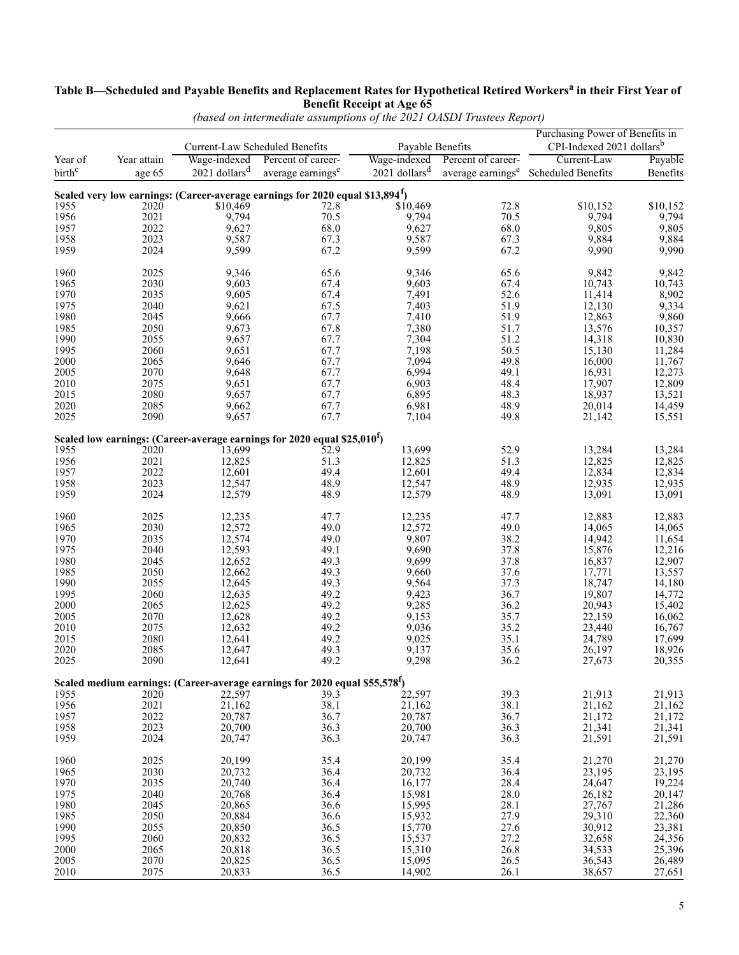#### **Table B—Scheduled and Payable Benefits and Replacement Rates for Hypothetical Retired Workers<sup>a</sup> in their First Year of Benefit Receipt at Age 65**

|                    |                   | Current-Law Scheduled Benefits | Payable Benefits                                                                          |                |                    | Purchasing Power of Benefits in<br>CPI-Indexed 2021 dollarsb                 |                  |
|--------------------|-------------------|--------------------------------|-------------------------------------------------------------------------------------------|----------------|--------------------|------------------------------------------------------------------------------|------------------|
| Year of            | Year attain       | Wage-indexed                   | Percent of career-                                                                        | Wage-indexed   | Percent of career- | Current-Law                                                                  | Payable          |
| birth <sup>c</sup> | age 65            | $2021$ dollars <sup>d</sup>    | average earnings <sup>e</sup>                                                             |                |                    | $2021$ dollars <sup>d</sup> average earnings <sup>e</sup> Scheduled Benefits | Benefits         |
|                    |                   |                                |                                                                                           |                |                    |                                                                              |                  |
|                    |                   |                                | Scaled very low earnings: (Career-average earnings for 2020 equal \$13,894 <sup>f</sup> ) |                |                    |                                                                              |                  |
| 1955               | $202\overline{0}$ | \$10,469                       | 72.8                                                                                      | \$10,469       | 72.8               | \$10,152                                                                     | \$10,152         |
| 1956               | 2021              | 9,794                          | 70.5                                                                                      | 9,794          | 70.5               | 9,794                                                                        | 9,794            |
| 1957               | 2022              | 9,627                          | 68.0                                                                                      | 9,627          | 68.0               | 9,805                                                                        | 9,805            |
| 1958               | 2023              | 9,587                          | 67.3                                                                                      | 9,587          | 67.3               | 9,884                                                                        | 9,884            |
| 1959               | 2024              | 9,599                          | 67.2                                                                                      | 9,599          | 67.2               | 9,990                                                                        | 9,990            |
| 1960               | 2025              | 9.346                          | 65.6                                                                                      | 9,346          | 65.6               | 9,842                                                                        | 9,842            |
| 1965               | 2030              | 9,603                          | 67.4                                                                                      | 9,603          | 67.4               | 10,743                                                                       | 10,743           |
| 1970               | 2035              | 9,605                          | 67.4                                                                                      | 7,491          | 52.6               | 11,414                                                                       | 8,902            |
| 1975               | 2040              | 9,621                          | 67.5                                                                                      | 7,403          | 51.9               | 12,130                                                                       | 9,334            |
| 1980               | 2045              | 9,666                          | 67.7                                                                                      | 7,410          | 51.9               | 12,863                                                                       | 9,860            |
| 1985               | 2050              | 9,673                          | 67.8                                                                                      | 7,380          | 51.7               | 13,576                                                                       | 10,357           |
| 1990               | 2055              | 9,657                          | 67.7                                                                                      | 7,304          | 51.2               | 14,318                                                                       | 10,830           |
| 1995               | 2060              | 9,651                          | 67.7                                                                                      | 7,198          | 50.5               | 15,130                                                                       | 11,284           |
| 2000               | 2065              | 9,646                          | 67.7                                                                                      | 7,094          | 49.8               | 16,000                                                                       | 11,767           |
| 2005               | 2070              | 9,648                          | 67.7                                                                                      | 6,994          | 49.1               | 16,931                                                                       | 12,273           |
| 2010               | 2075              | 9,651                          | 67.7                                                                                      | 6,903          | 48.4               | 17,907                                                                       |                  |
|                    |                   |                                |                                                                                           |                |                    |                                                                              | 12,809           |
| 2015               | 2080              | 9,657                          | 67.7                                                                                      | 6,895          | 48.3               | 18,937                                                                       | 13,521           |
| 2020<br>2025       | 2085<br>2090      | 9,662<br>9,657                 | 67.7<br>67.7                                                                              | 6,981<br>7,104 | 48.9<br>49.8       | 20,014<br>21,142                                                             | 14,459<br>15,551 |
|                    |                   |                                |                                                                                           |                |                    |                                                                              |                  |
|                    |                   |                                | Scaled low earnings: (Career-average earnings for 2020 equal \$25,010 <sup>f</sup> )      |                |                    |                                                                              |                  |
| 1955               | 2020              | 13,699                         | 52.9                                                                                      | 13,699         | 52.9               | 13,284                                                                       | 13,284           |
| 1956               | 2021              | 12,825                         | 51.3                                                                                      | 12,825         | 51.3               | 12,825                                                                       | 12,825           |
| 1957               | 2022              | 12,601                         | 49.4                                                                                      | 12,601         | 49.4               | 12,834                                                                       | 12,834           |
| 1958               | 2023              | 12,547                         | 48.9                                                                                      | 12,547         | 48.9               | 12,935                                                                       | 12,935           |
| 1959               | 2024              | 12,579                         | 48.9                                                                                      | 12,579         | 48.9               | 13,091                                                                       | 13,091           |
| 1960               | 2025              | 12,235                         | 47.7                                                                                      | 12,235         | 47.7               | 12,883                                                                       | 12,883           |
| 1965               | 2030              | 12,572                         | 49.0                                                                                      | 12,572         | 49.0               | 14,065                                                                       | 14,065           |
| 1970               | 2035              | 12,574                         | 49.0                                                                                      | 9,807          | 38.2               | 14,942                                                                       | 11,654           |
| 1975               | 2040              | 12,593                         | 49.1                                                                                      | 9,690          | 37.8               | 15,876                                                                       | 12,216           |
| 1980               | 2045              | 12,652                         | 49.3                                                                                      | 9,699          | 37.8               | 16,837                                                                       | 12,907           |
| 1985               | 2050              | 12,662                         | 49.3                                                                                      | 9,660          | 37.6               | 17,771                                                                       | 13,557           |
| 1990               | 2055              | 12,645                         | 49.3                                                                                      | 9,564          | 37.3               | 18,747                                                                       | 14,180           |
| 1995               | 2060              | 12,635                         | 49.2                                                                                      | 9,423          | 36.7               | 19,807                                                                       | 14,772           |
| 2000               | 2065              | 12,625                         | 49.2                                                                                      | 9,285          | 36.2               | 20,943                                                                       | 15,402           |
| 2005               | 2070              | 12,628                         | 49.2                                                                                      | 9,153          | 35.7               | 22,159                                                                       | 16,062           |
| 2010               | 2075              | 12,632                         | 49.2                                                                                      | 9,036          | 35.2               | 23,440                                                                       | 16,767           |
| 2015               | 2080              | 12,641                         | 49.2                                                                                      | 9,025          | 35.1               | 24,789                                                                       | 17,699           |
| 2020               | 2085              | 12,647                         | 49.3                                                                                      | 9,137          | 35.6               | 26,197                                                                       | 18,926           |
| 2025               | 2090              | 12,641                         | 49.2                                                                                      | 9,298          | 36.2               | 27,673                                                                       | 20,355           |
|                    |                   |                                |                                                                                           |                |                    |                                                                              |                  |
|                    |                   |                                | Scaled medium earnings: (Career-average earnings for 2020 equal \$55,578 <sup>f</sup> )   |                |                    |                                                                              |                  |
| 1955               | 2020              | 22,597                         | 39.3                                                                                      | 22,597         | 39.3               | 21,913                                                                       | 21,913           |
| 1956               | 2021              | 21,162                         | 38.1                                                                                      | 21,162         | 38.1               | 21,162                                                                       | 21,162           |
| 1957               | 2022              | 20,787                         | 36.7                                                                                      | 20,787         | 36.7               | 21,172                                                                       | 21,172           |
| 1958               | 2023              | 20,700                         | 36.3                                                                                      | 20,700         | 36.3               | 21,341                                                                       | 21,341           |
| 1959               | 2024              | 20,747                         | 36.3                                                                                      | 20,747         | 36.3               | 21,591                                                                       | 21,591           |
| 1960               | 2025              | 20,199                         | 35.4                                                                                      | 20,199         | 35.4               | 21,270                                                                       | 21,270           |
| 1965               | 2030              | 20,732                         | 36.4                                                                                      | 20,732         | 36.4               | 23,195                                                                       | 23,195           |
| 1970               | 2035              | 20,740                         | 36.4                                                                                      | 16,177         | 28.4               | 24,647                                                                       | 19,224           |
| 1975               | 2040              | 20,768                         | 36.4                                                                                      | 15,981         | 28.0               | 26,182                                                                       | 20,147           |
| 1980               | 2045              | 20,865                         | 36.6                                                                                      | 15,995         | 28.1               | 27,767                                                                       | 21,286           |
| 1985               | 2050              | 20,884                         | 36.6                                                                                      | 15,932         | 27.9               | 29,310                                                                       | 22,360           |
|                    | 2055              | 20,850                         |                                                                                           |                | 27.6               |                                                                              |                  |
| 1990               |                   |                                | 36.5                                                                                      | 15,770         |                    | 30,912                                                                       | 23,381           |
| 1995               | 2060              | 20,832                         | 36.5                                                                                      | 15,537         | 27.2               | 32,658                                                                       | 24,356           |
| 2000               | 2065              | 20,818                         | 36.5                                                                                      | 15,310         | 26.8               | 34,533                                                                       | 25,396           |
| 2005               | 2070              | 20,825                         | 36.5                                                                                      | 15,095         | 26.5               | 36,543                                                                       | 26,489           |
| 2010               | 2075              | 20,833                         | 36.5                                                                                      | 14,902         | 26.1               | 38,657                                                                       | 27,651           |

*(based on intermediate assumptions of the 2021 OASDI Trustees Report)*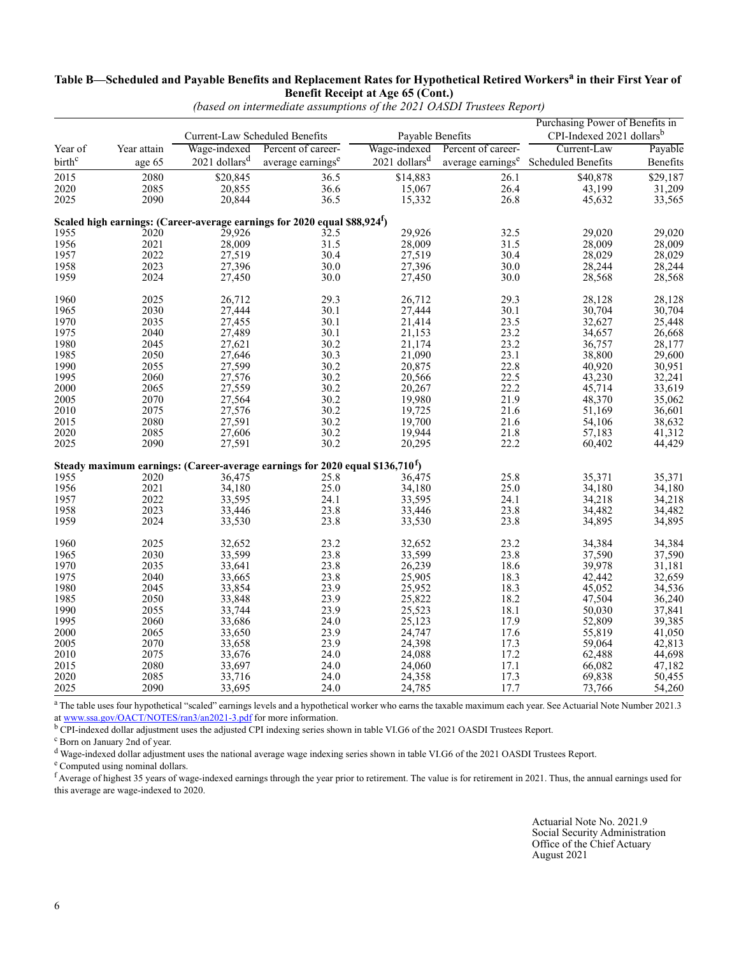#### **Table B—Scheduled and Payable Benefits and Replacement Rates for Hypothetical Retired Workers<sup>a</sup> in their First Year of Benefit Receipt at Age 65 (Cont.)**

|                    |             | Current-Law Scheduled Benefits |                                                                                           | Payable Benefits            |                    | Purchasing Power of Benefits in<br>CPI-Indexed 2021 dollars <sup>b</sup> |                  |
|--------------------|-------------|--------------------------------|-------------------------------------------------------------------------------------------|-----------------------------|--------------------|--------------------------------------------------------------------------|------------------|
| Year of            | Year attain | Wage-indexed                   | Percent of career-                                                                        | Wage-indexed                | Percent of career- | Current-Law                                                              | Payable          |
| birth <sup>c</sup> | age 65      | $2021$ dollars <sup>d</sup>    | average earnings <sup>e</sup>                                                             | $2021$ dollars <sup>d</sup> |                    | average earnings <sup>e</sup> Scheduled Benefits                         | Benefits         |
| 2015               | 2080        | \$20,845                       | 36.5                                                                                      | \$14,883                    | 26.1               | \$40,878                                                                 | \$29,187         |
| 2020               | 2085        | 20,855                         | 36.6                                                                                      | 15,067                      | 26.4               | 43,199                                                                   | 31,209           |
| 2025               | 2090        | 20,844                         | 36.5                                                                                      | 15,332                      | 26.8               | 45,632                                                                   | 33,565           |
|                    |             |                                | Scaled high earnings: (Career-average earnings for 2020 equal \$88,924 <sup>f</sup> )     |                             |                    |                                                                          |                  |
| 1955               | 2020        | 29,926                         | 32.5                                                                                      | 29,926                      | 32.5               | 29,020                                                                   | 29,020           |
| 1956               | 2021        | 28,009                         | 31.5                                                                                      | 28,009                      | 31.5               | 28,009                                                                   | 28,009           |
| 1957               | 2022        | 27,519                         | 30.4                                                                                      | 27,519                      | 30.4               | 28,029                                                                   | 28,029           |
| 1958               | 2023        | 27,396                         | $30.0\,$                                                                                  | 27,396                      | 30.0               | 28,244                                                                   | 28,244           |
| 1959               | 2024        | 27,450                         | 30.0                                                                                      | 27,450                      | 30.0               | 28,568                                                                   | 28,568           |
| 1960               | 2025        | 26,712                         | 29.3                                                                                      | 26,712                      | 29.3               | 28,128                                                                   | 28,128           |
| 1965               | 2030        | 27,444                         | 30.1                                                                                      | 27,444                      | 30.1               | 30,704                                                                   | 30,704           |
| 1970               | 2035        | 27,455                         | 30.1                                                                                      | 21,414                      | 23.5               | 32,627                                                                   | 25,448           |
| 1975               | 2040        | 27,489                         | 30.1                                                                                      | 21,153                      | 23.2               | 34,657                                                                   | 26,668           |
| 1980               | 2045        | 27,621                         | 30.2                                                                                      | 21,174                      | 23.2               | 36,757                                                                   | 28,177           |
| 1985               | 2050        | 27,646                         | 30.3                                                                                      | 21,090                      | 23.1               | 38,800                                                                   | 29,600           |
| 1990               | 2055        | 27,599                         |                                                                                           | 20,875                      | 22.8               |                                                                          |                  |
|                    |             |                                | 30.2                                                                                      |                             |                    | 40,920                                                                   | 30,951           |
| 1995               | 2060        | 27,576                         | 30.2                                                                                      | 20,566                      | 22.5               | 43,230                                                                   | 32,241           |
| 2000               | 2065        | 27,559                         | 30.2                                                                                      | 20,267                      | 22.2               | 45,714                                                                   | 33,619           |
| 2005               | 2070        | 27,564                         | $30.2$<br>$30.2$                                                                          | 19,980                      | 21.9               | 48,370                                                                   | 35,062<br>36,601 |
| 2010               | 2075        | 27,576                         |                                                                                           | 19,725                      | 21.6               | 51,169                                                                   |                  |
| 2015               | 2080        | 27,591                         | $30.2\,$                                                                                  | 19,700                      | 21.6               | 54,106                                                                   | 38,632           |
| 2020               | 2085        | 27,606                         | 30.2                                                                                      | 19,944                      | 21.8               | 57,183                                                                   | 41,312           |
| 2025               | 2090        | 27,591                         | 30.2                                                                                      | 20,295                      | 22.2               | 60,402                                                                   | 44,429           |
|                    |             |                                | Steady maximum earnings: (Career-average earnings for 2020 equal \$136,710 <sup>f</sup> ) |                             |                    |                                                                          |                  |
| 1955               | 2020        | 36,475                         | 25.8                                                                                      | 36,475                      | 25.8               | 35,371                                                                   | 35,371           |
| 1956               | 2021        | 34,180                         | 25.0                                                                                      | 34,180                      | 25.0               | 34,180                                                                   | 34,180           |
| 1957               | 2022        | 33,595                         | 24.1                                                                                      | 33,595                      | 24.1               | 34,218                                                                   | 34,218           |
| 1958               | 2023        | 33,446                         | 23.8                                                                                      | 33,446                      | 23.8               | 34,482                                                                   | 34,482           |
| 1959               | 2024        | 33,530                         | 23.8                                                                                      | 33,530                      | 23.8               | 34,895                                                                   | 34,895           |
| 1960               | 2025        | 32,652                         | 23.2                                                                                      | 32,652                      | 23.2               | 34,384                                                                   | 34,384           |
| 1965               | 2030        | 33,599                         | 23.8                                                                                      | 33,599                      | 23.8               | 37,590                                                                   | 37,590           |
| 1970               | 2035        | 33,641                         | 23.8                                                                                      | 26,239                      | 18.6               | 39,978                                                                   |                  |
| 1975               | 2040        | 33,665                         | 23.8                                                                                      | 25,905                      | 18.3               | 42,442                                                                   | 31,181<br>32,659 |
| 1980               | 2045        | 33,854                         | 23.9                                                                                      | 25,952                      | 18.3               | 45,052                                                                   | 34,536           |
| 1985               | 2050        | 33,848                         | 23.9                                                                                      | 25,822                      | 18.2               | 47,504                                                                   | 36,240           |
| 1990               | 2055        | 33,744                         | 23.9                                                                                      | 25,523                      | 18.1               | 50,030                                                                   | 37,841           |
| 1995               | 2060        | 33,686                         | 24.0                                                                                      | 25,123                      | 17.9               | 52,809                                                                   |                  |
|                    | 2065        |                                | 23.9                                                                                      |                             |                    |                                                                          | 39,385           |
| 2000               |             | 33,650                         |                                                                                           | 24,747                      | 17.6               | 55,819                                                                   | 41,050           |
| 2005               | 2070        | 33,658                         | 23.9                                                                                      | 24,398                      | 17.3               | 59,064                                                                   | 42,813           |
| 2010               | 2075        | 33,676                         | 24.0                                                                                      | 24,088                      | 17.2               | 62,488                                                                   | 44,698<br>47,182 |
| 2015               | 2080        | 33,697                         | 24.0                                                                                      | 24,060                      | 17.1               | 66,082                                                                   |                  |
| 2020               | 2085        | 33,716                         | 24.0                                                                                      | 24,358                      | 17.3               | 69,838                                                                   | 50,455           |
| 2025               | 2090        | 33,695                         | 24.0                                                                                      | 24,785                      | 17.7               | 73,766                                                                   | 54,260           |

*(based on intermediate assumptions of the 2021 OASDI Trustees Report)*

<sup>a</sup> The table uses four hypothetical "scaled" earnings levels and a hypothetical worker who earns the taxable maximum each year. See Actuarial Note Number 2021.3 at www.ssa.gov/OACT/NOTES/ran3/an2021-3.pdf for more information.

b CPI-indexed dollar adjustment uses the adjusted CPI indexing series shown in table VI.G6 of the 2021 OASDI Trustees Report.

c Born on January 2nd of year.

d Wage-indexed dollar adjustment uses the national average wage indexing series shown in table VI.G6 of the 2021 OASDI Trustees Report.

e Computed using nominal dollars.

 $f$  Average of highest 35 years of wage-indexed earnings through the year prior to retirement. The value is for retirement in 2021. Thus, the annual earnings used for this average are wage-indexed to 2020.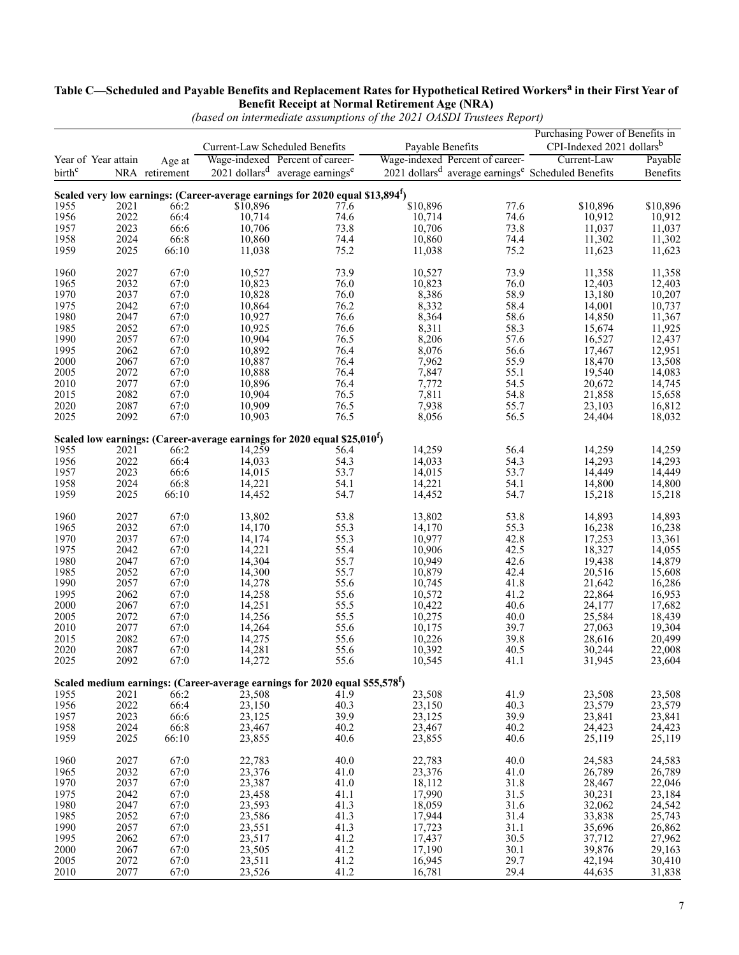#### **Table C—Scheduled and Payable Benefits and Replacement Rates for Hypothetical Retired Workersa in their First Year of Benefit Receipt at Normal Retirement Age (NRA)**

|                    |                     |                          |          | Current-Law Scheduled Benefits                                                               |          | Payable Benefits                | Purchasing Power of Benefits in<br>CPI-Indexed 2021 dollars <sup>b</sup>                  |                              |
|--------------------|---------------------|--------------------------|----------|----------------------------------------------------------------------------------------------|----------|---------------------------------|-------------------------------------------------------------------------------------------|------------------------------|
| birth <sup>c</sup> | Year of Year attain | Age at<br>NRA retirement |          | Wage-indexed Percent of career-<br>$2021$ dollars <sup>d</sup> average earnings <sup>e</sup> |          | Wage-indexed Percent of career- | Current-Law<br>2021 dollars <sup>d</sup> average earnings <sup>e</sup> Scheduled Benefits | Payable<br>Benefits          |
|                    |                     |                          |          | Scaled very low earnings: (Career-average earnings for 2020 equal \$13,894 <sup>f</sup> )    |          |                                 |                                                                                           |                              |
| 1955               | 2021                | 66:2                     | \$10,896 | 77.6                                                                                         | \$10,896 | 77.6                            | \$10,896                                                                                  | \$10,896                     |
| 1956               | 2022                | 66:4                     | 10,714   | 74.6                                                                                         | 10,714   | 74.6                            | 10,912                                                                                    | 10,912                       |
| 1957               | 2023                | 66:6                     | 10,706   | 73.8                                                                                         | 10,706   | 73.8                            | 11,037                                                                                    | 11,037                       |
| 1958               | 2024                | 66:8                     | 10,860   | 74.4                                                                                         | 10,860   | 74.4                            | 11,302                                                                                    | 11,302                       |
| 1959               | 2025                | 66:10                    | 11,038   | 75.2                                                                                         | 11,038   | 75.2                            | 11,623                                                                                    | 11,623                       |
| 1960               | 2027                | 67:0                     | 10,527   | 73.9                                                                                         | 10,527   | 73.9                            | 11,358                                                                                    | 11,358                       |
| 1965               | 2032                | 67:0                     | 10,823   | 76.0                                                                                         | 10,823   | 76.0                            | 12,403                                                                                    | 12,403                       |
| 1970               | 2037                | 67:0                     | 10,828   | 76.0                                                                                         | 8,386    | 58.9                            | 13,180                                                                                    | 10,207                       |
| 1975               | 2042                | 67:0                     | 10,864   | 76.2                                                                                         | 8,332    | 58.4                            | 14,001                                                                                    | 10,737                       |
| 1980               | 2047                | 67:0                     | 10,927   | 76.6                                                                                         | 8,364    | 58.6                            | 14,850                                                                                    | 11,367                       |
| 1985               | 2052                | 67:0                     | 10,925   | 76.6                                                                                         | 8,311    | 58.3                            | 15,674                                                                                    | $\frac{11,925}{12,437}$      |
| 1990               | 2057                | 67:0                     | 10,904   | 76.5                                                                                         | 8,206    | 57.6                            | 16,527                                                                                    |                              |
| 1995               | 2062                | 67:0                     | 10,892   | 76.4                                                                                         | 8,076    | 56.6                            | 17,467                                                                                    | 12,951                       |
| 2000               | 2067                | 67:0                     | 10,887   | 76.4                                                                                         | 7,962    | 55.9                            | 18,470                                                                                    |                              |
| 2005               | 2072                | 67:0                     | 10,888   | 76.4                                                                                         | 7,847    | 55.1                            | 19,540                                                                                    | $13,508$<br>14,083<br>14,745 |
| 2010               | 2077                | 67:0                     | 10,896   | 76.4                                                                                         | 7,772    | 54.5                            | 20,672                                                                                    |                              |
| 2015               | 2082                | 67:0                     | 10,904   | 76.5                                                                                         | 7,811    | 54.8                            | 21,858                                                                                    | 15,658                       |
| 2020               | 2087                | 67:0                     | 10,909   | 76.5                                                                                         | 7,938    | 55.7                            | 23,103                                                                                    | 16,812                       |
| 2025               | 2092                | 67:0                     | 10,903   | 76.5                                                                                         | 8,056    | 56.5                            | 24,404                                                                                    | 18,032                       |
|                    |                     |                          |          | Scaled low earnings: (Career-average earnings for 2020 equal \$25,010 <sup>f</sup> )         |          |                                 |                                                                                           |                              |
| 1955               | 2021                | 66:2                     | 14,259   | 56.4                                                                                         | 14,259   | 56.4                            | 14,259                                                                                    | 14,259                       |
| 1956               | 2022                | 66:4                     | 14,033   | 54.3                                                                                         | 14,033   | 54.3                            | 14,293                                                                                    | 14,293                       |
| 1957               | 2023                | 66:6                     | 14,015   | 53.7                                                                                         | 14,015   | 53.7                            | 14,449                                                                                    | 14,449                       |
| 1958               | 2024                | 66:8                     | 14,221   | 54.1                                                                                         | 14,221   | 54.1                            | 14,800                                                                                    | 14,800                       |
| 1959               | 2025                | 66:10                    | 14,452   | 54.7                                                                                         | 14,452   | 54.7                            | 15,218                                                                                    | 15,218                       |
| 1960               | 2027                | 67:0                     | 13,802   | 53.8                                                                                         | 13,802   | 53.8                            | 14,893                                                                                    | 14,893                       |
| 1965               | 2032                | 67:0                     | 14,170   | 55.3                                                                                         | 14,170   | 55.3                            | 16,238                                                                                    | 16,238                       |
| 1970               | 2037                | 67:0                     | 14,174   | 55.3                                                                                         | 10,977   | 42.8                            | 17,253                                                                                    | 13,361                       |
| 1975               | 2042                | 67:0                     | 14,221   | 55.4                                                                                         | 10,906   | 42.5                            | 18,327                                                                                    | 14,055                       |
| 1980               | 2047                | 67:0                     | 14,304   | 55.7                                                                                         | 10,949   | 42.6                            | 19,438                                                                                    | 14,879                       |
| 1985               | 2052                | 67:0                     | 14,300   | 55.7                                                                                         | 10,879   | 42.4                            | 20,516                                                                                    | 15,608                       |
| 1990               | 2057                | 67:0                     | 14,278   | 55.6                                                                                         | 10,745   | 41.8                            | 21,642                                                                                    | 16,286                       |
| 1995               | 2062                | 67:0                     | 14,258   | 55.6                                                                                         | 10,572   | 41.2                            | 22,864                                                                                    | 16,953                       |
| 2000               | 2067                | 67:0                     | 14,251   | 55.5                                                                                         | 10,422   | 40.6                            | 24,177                                                                                    | 17,682                       |
| 2005               | 2072                | 67:0                     | 14,256   | 55.5                                                                                         | 10,275   | 40.0                            | 25,584                                                                                    | 18,439                       |
| 2010               | 2077                | 67:0                     | 14,264   | 55.6                                                                                         | 10,175   | 39.7                            | 27,063                                                                                    | 19,304                       |
| 2015               | 2082                | 67:0                     | 14,275   | 55.6                                                                                         | 10,226   | 39.8                            | 28,616                                                                                    | 20,499                       |
| 2020               | 2087                | 67:0                     | 14,281   | 55.6                                                                                         | 10,392   | 40.5                            | 30,244                                                                                    | 22,008                       |
| 2025               | 2092                | 67:0                     | 14,272   | 55.6                                                                                         | 10,545   | 41.1                            | 31,945                                                                                    | 23,604                       |
|                    |                     |                          |          | Scaled medium earnings: (Career-average earnings for 2020 equal \$55,578 <sup>f</sup> )      |          |                                 |                                                                                           |                              |
| 1955               | 2021                | 66:2                     | 23,508   | 41.9                                                                                         | 23,508   | 41.9                            | 23,508                                                                                    | 23,508                       |
| 1956               | 2022                | 66:4                     | 23,150   | 40.3                                                                                         | 23,150   | 40.3                            | 23,579                                                                                    | 23,579                       |
| 1957               | 2023                | 66:6                     | 23,125   | 39.9                                                                                         | 23,125   | 39.9                            | 23,841                                                                                    | 23,841                       |
| 1958               | 2024                | 66:8                     | 23,467   | 40.2                                                                                         | 23,467   | 40.2                            | 24,423                                                                                    | 24,423                       |
| 1959               | 2025                | 66:10                    | 23,855   | 40.6                                                                                         | 23,855   | 40.6                            | 25,119                                                                                    | 25,119                       |
| 1960               | 2027                | 67:0                     | 22,783   | 40.0                                                                                         | 22,783   | 40.0                            | 24,583                                                                                    | 24,583                       |
| 1965               | 2032                | 67:0                     | 23,376   | 41.0                                                                                         | 23,376   | 41.0                            | 26,789                                                                                    | 26,789                       |
| 1970               | 2037                | 67:0                     | 23,387   | 41.0                                                                                         | 18,112   | 31.8                            | 28,467                                                                                    | 22,046                       |
| 1975               | 2042                | 67:0                     | 23,458   | 41.1                                                                                         | 17,990   | 31.5                            | 30,231                                                                                    | 23,184                       |
| 1980               | 2047                | 67:0                     | 23,593   | 41.3                                                                                         | 18,059   | 31.6                            | 32,062                                                                                    | 24,542                       |
| 1985               | 2052                | 67:0                     | 23,586   | 41.3                                                                                         | 17,944   | 31.4                            | 33,838                                                                                    | 25,743                       |
| 1990               | 2057                | 67:0                     | 23,551   | 41.3                                                                                         | 17,723   | 31.1                            | 35,696                                                                                    | 26,862                       |
| 1995               | 2062                | 67:0                     | 23,517   | 41.2                                                                                         | 17,437   | 30.5                            | 37,712                                                                                    | 27,962                       |
| 2000               | 2067                | 67:0                     | 23,505   | 41.2                                                                                         | 17,190   | 30.1                            | 39,876                                                                                    | 29,163                       |
| 2005               | 2072                | 67:0                     | 23,511   | 41.2                                                                                         | 16,945   | 29.7                            | 42,194                                                                                    | 30,410                       |
| 2010               | 2077                | 67:0                     | 23,526   | 41.2                                                                                         | 16,781   | 29.4                            | 44,635                                                                                    | 31,838                       |

*(based on intermediate assumptions of the 2021 OASDI Trustees Report)*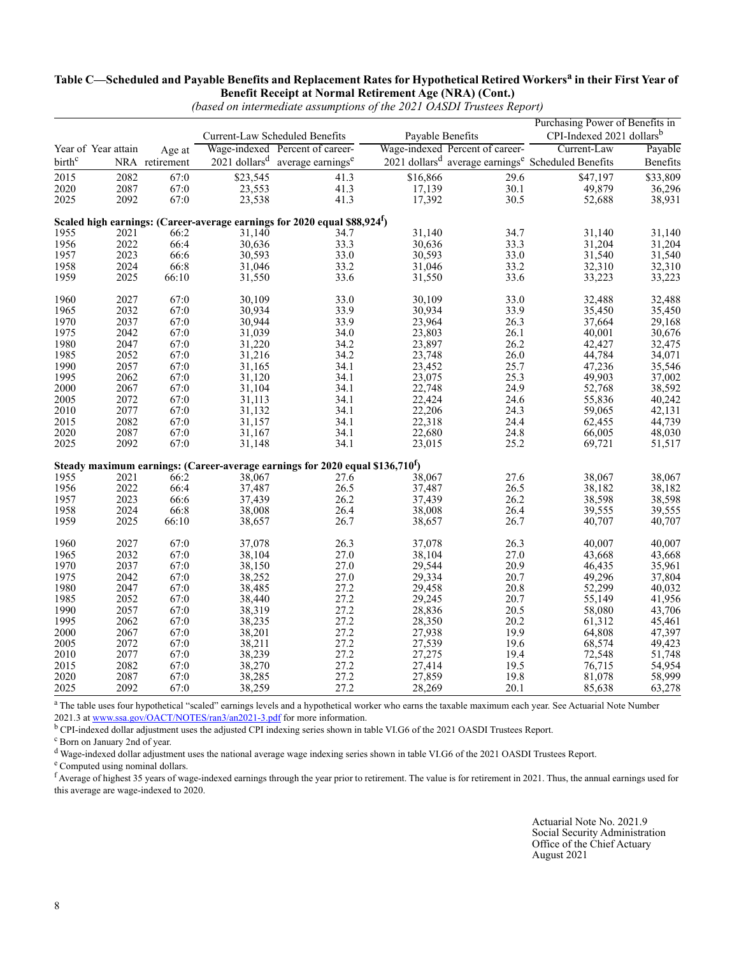#### **Table C—Scheduled and Payable Benefits and Replacement Rates for Hypothetical Retired Workersa in their First Year of Benefit Receipt at Normal Retirement Age (NRA) (Cont.)**

|                    |                     |                                             |          |                                                                                           |                  |                                 | Purchasing Power of Benefits in                                            |                  |
|--------------------|---------------------|---------------------------------------------|----------|-------------------------------------------------------------------------------------------|------------------|---------------------------------|----------------------------------------------------------------------------|------------------|
|                    |                     |                                             |          | Current-Law Scheduled Benefits                                                            | Payable Benefits |                                 | CPI-Indexed 2021 dollars <sup>b</sup>                                      |                  |
|                    | Year of Year attain | Age at                                      |          | Wage-indexed Percent of career-                                                           |                  | Wage-indexed Percent of career- | Current-Law                                                                | Payable          |
| birth <sup>c</sup> |                     | NRA retirement                              |          | $2021$ dollars <sup>d</sup> average earnings <sup>e</sup>                                 |                  |                                 | 2021 dollars <sup>d</sup> average earnings <sup>e</sup> Scheduled Benefits | Benefits         |
| 2015               | 2082                | 67:0                                        | \$23,545 | 41.3                                                                                      | \$16,866         | 29.6                            | \$47,197                                                                   | \$33,809         |
| 2020               | 2087                | 67:0                                        | 23,553   | 41.3                                                                                      | 17,139           | 30.1                            | 49,879                                                                     | 36,296           |
| 2025               | 2092                | 67:0                                        | 23,538   | 41.3                                                                                      | 17,392           | 30.5                            | 52,688                                                                     | 38,931           |
|                    |                     |                                             |          | Scaled high earnings: (Career-average earnings for 2020 equal \$88,924 <sup>f</sup> )     |                  |                                 |                                                                            |                  |
| 1955               | 2021                | 66:2                                        | 31,140   | 34.7                                                                                      | 31,140           | 34.7                            | 31,140                                                                     | 31,140           |
| 1956               | 2022                | 66:4                                        | 30,636   | 33.3                                                                                      | 30,636           | 33.3                            | 31,204                                                                     | 31,204           |
| 1957               | 2023                | 66:6                                        | 30,593   | 33.0                                                                                      | 30,593           | 33.0                            | 31,540                                                                     | 31,540           |
| 1958               | 2024                | 66:8                                        | 31,046   | 33.2                                                                                      | 31,046           | 33.2                            | 32,310                                                                     | 32,310           |
| 1959               | 2025                | 66:10                                       | 31,550   | 33.6                                                                                      | 31,550           | 33.6                            | 33,223                                                                     | 33,223           |
| 1960               | 2027                | 67:0                                        | 30.109   | 33.0                                                                                      | 30,109           | 33.0                            | 32,488                                                                     | 32,488           |
| 1965               | 2032                | 67:0                                        | 30,934   | 33.9                                                                                      | 30,934           | 33.9                            | 35,450                                                                     | 35,450           |
| 1970               | 2037                | $\begin{array}{c} 67.0 \\ 67.0 \end{array}$ | 30,944   | 33.9                                                                                      | 23,964           | 26.3                            | 37,664                                                                     | 29,168           |
| 1975               | 2042                |                                             | 31,039   | 34.0                                                                                      | 23,803           | 26.1                            | 40,001                                                                     | 30,676           |
| 1980               | 2047                | 67:0                                        | 31,220   | 34.2                                                                                      | 23,897           | 26.2                            | 42,427                                                                     | 32,475           |
| 1985               | 2052                | 67:0                                        | 31,216   | 34.2                                                                                      | 23,748           | 26.0                            | 44,784                                                                     | 34,071           |
| 1990               | 2057                | 67:0                                        | 31,165   | 34.1                                                                                      | 23,452           | 25.7                            | 47,236                                                                     | 35,546           |
| 1995               | 2062                | 67:0                                        | 31,120   | 34.1                                                                                      | 23,075           | 25.3                            | 49,903                                                                     | 37,002           |
| 2000               | 2067                | 67:0                                        | 31,104   | 34.1                                                                                      | 22,748           | 24.9                            | 52,768                                                                     | 38,592           |
| 2005               | 2072                |                                             | 31,113   | 34.1                                                                                      | 22,424           | 24.6                            | 55,836                                                                     | 40,242           |
| 2010               | 2077                | $\begin{array}{c} 67.0 \\ 67.0 \end{array}$ | 31,132   | 34.1                                                                                      | 22,206           | 24.3                            | 59,065                                                                     | 42,131           |
| 2015               | 2082                | 67:0                                        | 31,157   | 34.1                                                                                      | 22,318           | 24.4                            |                                                                            | 44,739           |
| 2020               | 2087                |                                             | 31,167   | 34.1                                                                                      | 22,680           | 24.8                            | 62,455<br>66,005                                                           |                  |
| 2025               | 2092                | 67:0<br>67:0                                | 31,148   | 34.1                                                                                      | 23,015           | 25.2                            | 69,721                                                                     | 48,030<br>51,517 |
|                    |                     |                                             |          |                                                                                           |                  |                                 |                                                                            |                  |
|                    |                     |                                             |          | Steady maximum earnings: (Career-average earnings for 2020 equal \$136,710 <sup>f</sup> ) |                  |                                 |                                                                            |                  |
| 1955               | 2021                | 66:2                                        | 38,067   | 27.6                                                                                      | 38,067           | 27.6                            | 38,067                                                                     | 38,067           |
| 1956               | 2022                | 66:4                                        | 37,487   | 26.5                                                                                      | 37,487           | 26.5                            | 38,182                                                                     | 38,182           |
| 1957               | 2023                | 66:6                                        | 37,439   | 26.2                                                                                      | 37,439           | 26.2                            | 38,598                                                                     | 38,598           |
| 1958               | 2024                | 66:8                                        | 38,008   | 26.4                                                                                      | 38,008           | 26.4                            | 39,555                                                                     | 39,555           |
| 1959               | 2025                | 66:10                                       | 38,657   | 26.7                                                                                      | 38,657           | 26.7                            | 40,707                                                                     | 40,707           |
| 1960               | 2027                | 67:0                                        | 37,078   | 26.3                                                                                      | 37,078           | 26.3                            | 40,007                                                                     | 40,007           |
| 1965               | 2032                | 67:0                                        | 38,104   | 27.0                                                                                      | 38,104           | 27.0                            | 43,668                                                                     | 43,668           |
| 1970               | 2037                | 67:0                                        | 38,150   | 27.0                                                                                      | 29,544           | 20.9                            | 46,435                                                                     | 35,961           |
| 1975               | 2042                | 67:0                                        | 38,252   | 27.0                                                                                      | 29,334           | 20.7                            | 49,296                                                                     | 37,804           |
| 1980               | 2047                | 67:0                                        | 38,485   | 27.2                                                                                      | 29,458           | 20.8                            | 52,299                                                                     | 40,032           |
| 1985               | 2052                | 67:0                                        | 38,440   | 27.2                                                                                      | 29,245           | 20.7                            | 55,149                                                                     | 41,956           |
| 1990               | 2057                | 67:0                                        | 38,319   | 27.2                                                                                      | 28,836           | 20.5                            | 58,080                                                                     | 43,706           |
| 1995               | 2062                | 67:0                                        | 38,235   | 27.2                                                                                      | 28,350           | 20.2                            | 61,312                                                                     | 45,461           |
| 2000               | 2067                | 67:0                                        | 38,201   | 27.2                                                                                      | 27,938           | 19.9                            | 64,808                                                                     | 47,397           |
| 2005               | 2072                | 67:0                                        | 38,211   | 27.2                                                                                      | 27,539           | 19.6                            | 68,574                                                                     | 49,423           |
| 2010               | 2077                | 67:0                                        | 38,239   | 27.2                                                                                      | 27,275           | 19.4                            | 72,548                                                                     | 51,748           |
| 2015               | 2082                | 67:0                                        | 38,270   | 27.2                                                                                      | 27,414           | 19.5                            | 76,715                                                                     | 54,954           |
| 2020               | 2087                | 67:0                                        | 38,285   | 27.2                                                                                      | 27,859           | 19.8                            | 81,078                                                                     | 58,999           |
| 2025               | 2092                | 67:0                                        | 38,259   | 27.2                                                                                      | 28,269           | 20.1                            | 85,638                                                                     | 63,278           |

*(based on intermediate assumptions of the 2021 OASDI Trustees Report)*

<sup>a</sup> The table uses four hypothetical "scaled" earnings levels and a hypothetical worker who earns the taxable maximum each year. See Actuarial Note Number 2021.3 at www.ssa.gov/OACT/NOTES/ran3/an2021-3.pdf for more information.

b CPI-indexed dollar adjustment uses the adjusted CPI indexing series shown in table VI.G6 of the 2021 OASDI Trustees Report.

c Born on January 2nd of year.

d Wage-indexed dollar adjustment uses the national average wage indexing series shown in table VI.G6 of the 2021 OASDI Trustees Report.

e Computed using nominal dollars.

 $f$  Average of highest 35 years of wage-indexed earnings through the year prior to retirement. The value is for retirement in 2021. Thus, the annual earnings used for this average are wage-indexed to 2020.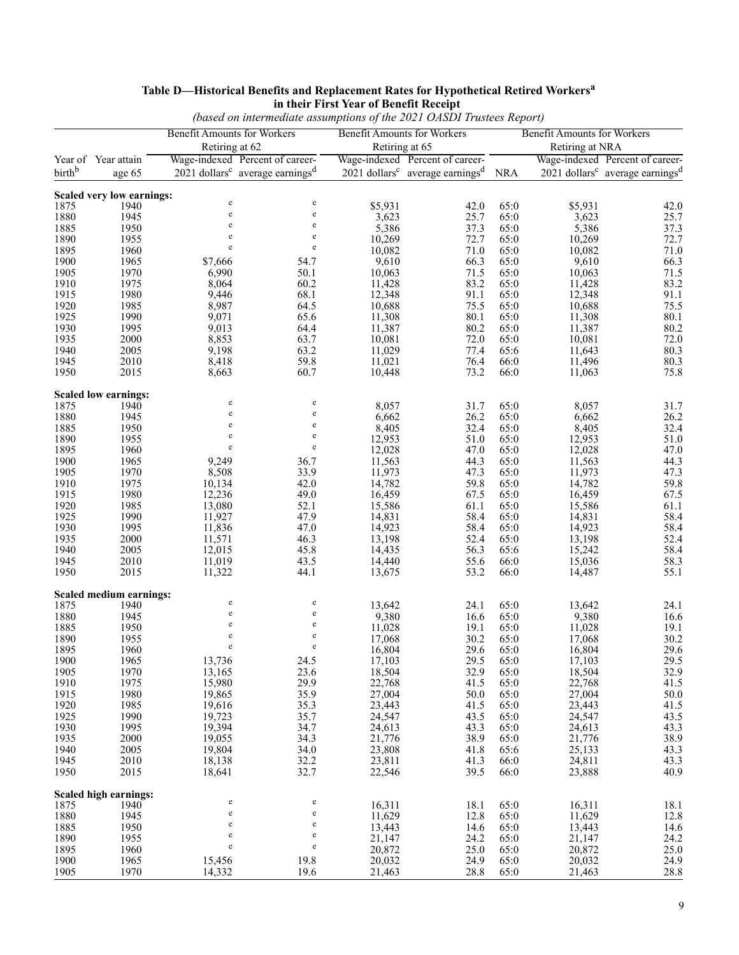|              |                               |                                                      | (based on intermediate assumptions of the 2021 OASDI Trustees Report)                        |                                                      |                                                                                                  |              |                                    |                                                         |
|--------------|-------------------------------|------------------------------------------------------|----------------------------------------------------------------------------------------------|------------------------------------------------------|--------------------------------------------------------------------------------------------------|--------------|------------------------------------|---------------------------------------------------------|
|              |                               | <b>Benefit Amounts for Workers</b><br>Retiring at 62 |                                                                                              | <b>Benefit Amounts for Workers</b><br>Retiring at 65 |                                                                                                  |              | <b>Benefit Amounts for Workers</b> |                                                         |
|              |                               |                                                      |                                                                                              |                                                      |                                                                                                  |              | Retiring at NRA                    | Wage-indexed Percent of career-                         |
| birthb       | Year of Year attain<br>age 65 |                                                      | Wage-indexed Percent of career-<br>$2021$ dollars <sup>c</sup> average earnings <sup>d</sup> |                                                      | Wage-indexed Percent of career-<br>$2021$ dollars <sup>c</sup> average earnings <sup>d</sup> NRA |              |                                    | 2021 dollars <sup>c</sup> average earnings <sup>d</sup> |
|              | Scaled very low earnings:     |                                                      |                                                                                              |                                                      |                                                                                                  |              |                                    |                                                         |
| 1875         | 1940                          | $\rm e$                                              | e                                                                                            | \$5,931                                              | 42.0                                                                                             | 65:0         | \$5,931                            | 42.0                                                    |
| 1880         | 1945                          | $\rm e$                                              | e                                                                                            | 3,623                                                | 25.7                                                                                             | 65:0         | 3,623                              | 25.7                                                    |
| 1885         | 1950                          | e                                                    | e                                                                                            | 5,386                                                | 37.3                                                                                             | 65:0         | 5,386                              | 37.3                                                    |
| 1890         | 1955                          | $\rm e$                                              | e                                                                                            | 10,269                                               | 72.7                                                                                             | 65:0         | 10,269                             | 72.7                                                    |
| 1895         | 1960                          | $\rm e$                                              | e                                                                                            | 10,082                                               | 71.0                                                                                             | 65:0         | 10,082                             | 71.0                                                    |
| 1900         | 1965                          | \$7,666                                              | 54.7                                                                                         | 9,610                                                | 66.3                                                                                             | 65:0         | 9,610                              | 66.3                                                    |
| 1905         | 1970                          | 6,990                                                | 50.1                                                                                         | 10,063                                               | 71.5                                                                                             | 65:0         | 10,063                             | 71.5                                                    |
| 1910         | 1975                          | 8,064                                                | 60.2                                                                                         | 11,428                                               | 83.2                                                                                             | 65:0         | 11,428                             | 83.2                                                    |
| 1915         | 1980                          | 9,446                                                | 68.1                                                                                         | 12,348                                               | 91.1                                                                                             | 65:0         | 12,348                             | 91.1                                                    |
| 1920         | 1985                          | 8,987                                                | 64.5                                                                                         | 10,688                                               | 75.5                                                                                             | 65:0         | 10,688                             | 75.5                                                    |
| 1925         | 1990                          | 9,071                                                | 65.6                                                                                         | 11,308                                               | 80.1                                                                                             | 65:0         | 11,308                             | $80.1\,$                                                |
| 1930<br>1935 | 1995<br>2000                  | 9,013<br>8,853                                       | 64.4<br>63.7                                                                                 | 11,387<br>10,081                                     | 80.2<br>72.0                                                                                     | 65:0<br>65:0 | 11,387<br>10,081                   | 80.2<br>72.0                                            |
| 1940         | 2005                          | 9,198                                                | 63.2                                                                                         | 11,029                                               | 77.4                                                                                             | 65:6         | 11,643                             | 80.3                                                    |
| 1945         | 2010                          | 8,418                                                | 59.8                                                                                         | 11,021                                               | 76.4                                                                                             | 66:0         | 11,496                             | 80.3                                                    |
| 1950         | 2015                          | 8,663                                                | 60.7                                                                                         | 10,448                                               | 73.2                                                                                             | 66:0         | 11,063                             | 75.8                                                    |
|              | <b>Scaled low earnings:</b>   |                                                      |                                                                                              |                                                      |                                                                                                  |              |                                    |                                                         |
| 1875         | 1940                          | e                                                    | e                                                                                            | 8,057                                                | 31.7                                                                                             | 65:0         | 8,057                              | 31.7                                                    |
| 1880         | 1945                          | $\rm e$                                              | e                                                                                            | 6,662                                                | 26.2                                                                                             | 65:0         | 6,662                              | 26.2                                                    |
| 1885         | 1950                          | $\rm e$                                              | e                                                                                            | 8,405                                                | 32.4                                                                                             | 65:0         | 8,405                              | 32.4                                                    |
| 1890         | 1955                          | $\rm e$                                              | e                                                                                            | 12,953                                               | 51.0                                                                                             | 65:0         | 12,953                             | 51.0                                                    |
| 1895         | 1960                          | $\rm e$                                              | e                                                                                            | 12,028                                               | 47.0                                                                                             | 65:0         | 12,028                             | 47.0                                                    |
| 1900         | 1965                          | 9,249                                                | 36.7                                                                                         | 11,563                                               | 44.3                                                                                             | 65:0         | 11,563                             | 44.3                                                    |
| 1905         | 1970                          | 8,508                                                | 33.9                                                                                         | 11,973                                               | 47.3                                                                                             | 65:0         | 11,973                             | 47.3                                                    |
| 1910         | 1975                          | 10,134                                               | 42.0                                                                                         | 14,782                                               | 59.8                                                                                             | 65:0         | 14,782                             | 59.8                                                    |
| 1915         | 1980                          | 12,236                                               | 49.0                                                                                         | 16,459                                               | 67.5                                                                                             | 65:0         | 16,459                             | 67.5                                                    |
| 1920         | 1985                          | 13,080                                               | 52.1                                                                                         | 15,586                                               | 61.1                                                                                             | 65:0         | 15,586                             | 61.1                                                    |
| 1925         | 1990                          | 11,927                                               | 47.9                                                                                         | 14,831                                               | 58.4                                                                                             | 65:0         | 14,831                             | 58.4                                                    |
| 1930         | 1995                          | 11,836                                               | 47.0                                                                                         | 14,923                                               | 58.4                                                                                             | 65:0         | 14,923                             | 58.4                                                    |
| 1935<br>1940 | 2000                          | 11,571<br>12,015                                     | 46.3                                                                                         | 13,198<br>14,435                                     | 52.4                                                                                             | 65:0         | 13,198                             | 52.4<br>58.4                                            |
| 1945         | 2005<br>2010                  | 11,019                                               | 45.8<br>43.5                                                                                 | 14,440                                               | 56.3<br>55.6                                                                                     | 65:6<br>66:0 | 15,242<br>15,036                   | 58.3                                                    |
| 1950         | 2015                          | 11,322                                               | 44.1                                                                                         | 13,675                                               | 53.2                                                                                             | 66:0         | 14,487                             | 55.1                                                    |
|              | Scaled medium earnings:       |                                                      |                                                                                              |                                                      |                                                                                                  |              |                                    |                                                         |
| 1875         | 1940                          | $\rm e$                                              | e                                                                                            | 13,642                                               | 24.1                                                                                             | 65:0         | 13,642                             | 24.1                                                    |
| 1880         | 1945                          | $\rm e$                                              | e                                                                                            | 9,380                                                | 16.6                                                                                             | 65:0         | 9,380                              | 16.6                                                    |
| 1885         | 1950                          | e                                                    | e                                                                                            | 11,028                                               | 19.1                                                                                             | 65:0         | 11,028                             | 19.1                                                    |
| 1890         | 1955                          | $\rm e$<br>e                                         | e<br>e                                                                                       | 17,068                                               | 30.2                                                                                             | 65:0         | 17,068                             | 30.2                                                    |
| 1895         | 1960                          |                                                      |                                                                                              | 16,804                                               | 29.6                                                                                             | 65:0         | 16,804                             | 29.6                                                    |
| 1900         | 1965                          | 13,736                                               | 24.5                                                                                         | 17,103                                               | 29.5                                                                                             | 65:0         | 17,103                             | 29.5                                                    |
| 1905<br>1910 | 1970<br>1975                  | 13,165<br>15,980                                     | 23.6<br>29.9                                                                                 | 18,504<br>22,768                                     | 32.9<br>41.5                                                                                     | 65:0<br>65:0 | 18,504<br>22,768                   | 32.9<br>41.5                                            |
| 1915         | 1980                          | 19,865                                               | 35.9                                                                                         | 27,004                                               | 50.0                                                                                             | 65:0         | 27,004                             | 50.0                                                    |
| 1920         | 1985                          | 19,616                                               | 35.3                                                                                         | 23,443                                               | 41.5                                                                                             | 65:0         | 23,443                             | 41.5                                                    |
| 1925         | 1990                          | 19,723                                               | 35.7                                                                                         | 24,547                                               | 43.5                                                                                             | 65:0         | 24,547                             | 43.5                                                    |
| 1930         | 1995                          | 19,394                                               | 34.7                                                                                         | 24,613                                               | 43.3                                                                                             | 65:0         | 24,613                             | 43.3                                                    |
| 1935         | 2000                          | 19,055                                               | 34.3                                                                                         | 21,776                                               | 38.9                                                                                             | 65:0         | 21,776                             | 38.9                                                    |
| 1940         | 2005                          | 19,804                                               | 34.0                                                                                         | 23,808                                               | 41.8                                                                                             | 65:6         | 25,133                             | 43.3                                                    |
| 1945         | 2010                          | 18,138                                               | 32.2                                                                                         | 23,811                                               | 41.3                                                                                             | 66:0         | 24,811                             | 43.3                                                    |
| 1950         | 2015                          | 18,641                                               | 32.7                                                                                         | 22,546                                               | 39.5                                                                                             | 66:0         | 23,888                             | 40.9                                                    |
|              | <b>Scaled high earnings:</b>  |                                                      |                                                                                              |                                                      |                                                                                                  |              |                                    |                                                         |
| 1875         | 1940                          | e                                                    | e                                                                                            | 16,311                                               | 18.1                                                                                             | 65:0         | 16,311                             | 18.1                                                    |
| 1880         | 1945                          | $\mathbf e$                                          | e                                                                                            | 11,629                                               | 12.8                                                                                             | 65:0         | 11,629                             | 12.8                                                    |
| 1885         | 1950                          | e                                                    | e                                                                                            | 13,443                                               | 14.6                                                                                             | 65:0         | 13,443                             | 14.6                                                    |
| 1890         | 1955                          | $\rm e$<br>$\rm e$                                   | e<br>e                                                                                       | 21,147                                               | 24.2                                                                                             | 65:0         | 21,147                             | 24.2                                                    |
| 1895         | 1960                          |                                                      |                                                                                              | 20,872                                               | 25.0                                                                                             | 65:0         | 20,872                             | 25.0                                                    |
| 1900         | 1965                          | 15,456                                               | 19.8                                                                                         | 20,032                                               | 24.9                                                                                             | 65:0         | 20,032                             | 24.9                                                    |
| 1905         | 1970                          | 14,332                                               | 19.6                                                                                         | 21,463                                               | 28.8                                                                                             | 65:0         | 21,463                             | 28.8                                                    |

# **Table D—Historical Benefits and Replacement Rates for Hypothetical Retired Workers<sup>a</sup> in their First Year of Benefit Receipt**